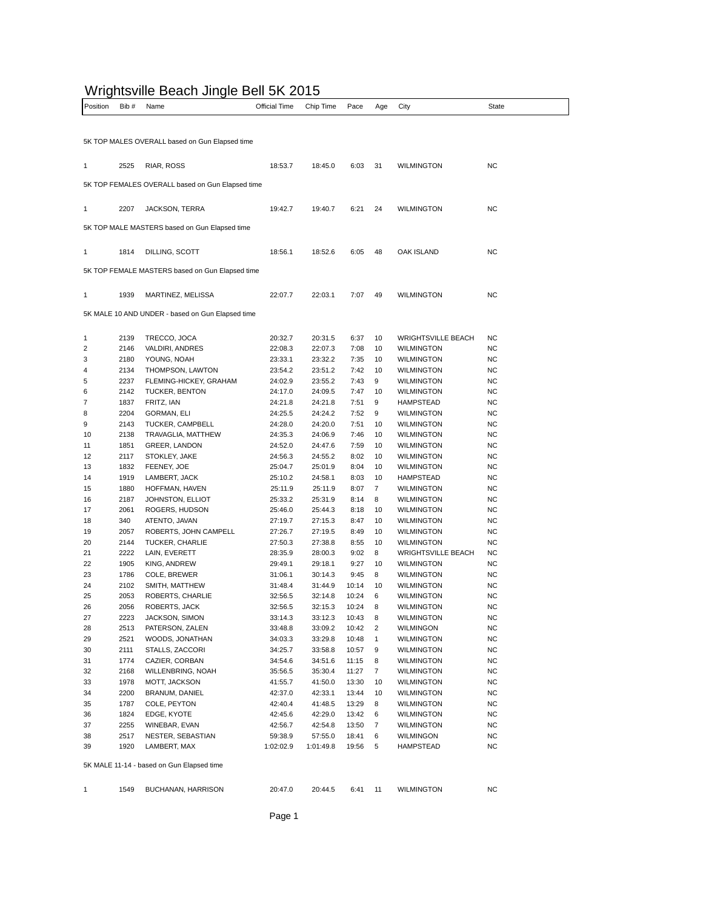## Wrightsville Beach Jingle Bell 5K 2015

| .<br>Position | Bib#         | <b>TROVING BOQUIT UNIGHT BUT ON LO</b><br>Name   | Official Time      | Chip Time          | Pace         | Age      | City                                   | State     |
|---------------|--------------|--------------------------------------------------|--------------------|--------------------|--------------|----------|----------------------------------------|-----------|
|               |              |                                                  |                    |                    |              |          |                                        |           |
|               |              | 5K TOP MALES OVERALL based on Gun Elapsed time   |                    |                    |              |          |                                        |           |
|               |              |                                                  |                    |                    |              |          |                                        |           |
| 1             | 2525         | RIAR, ROSS                                       | 18:53.7            | 18:45.0            | 6:03         | 31       | <b>WILMINGTON</b>                      | <b>NC</b> |
|               |              | 5K TOP FEMALES OVERALL based on Gun Elapsed time |                    |                    |              |          |                                        |           |
| 1             | 2207         | JACKSON, TERRA                                   | 19:42.7            | 19:40.7            | 6:21         | 24       | <b>WILMINGTON</b>                      | <b>NC</b> |
|               |              |                                                  |                    |                    |              |          |                                        |           |
|               |              | 5K TOP MALE MASTERS based on Gun Elapsed time    |                    |                    |              |          |                                        |           |
| 1             | 1814         | DILLING, SCOTT                                   | 18:56.1            | 18:52.6            | 6:05         | 48       | OAK ISLAND                             | <b>NC</b> |
|               |              | 5K TOP FEMALE MASTERS based on Gun Elapsed time  |                    |                    |              |          |                                        |           |
|               |              |                                                  |                    |                    |              |          |                                        |           |
| 1             | 1939         | MARTINEZ, MELISSA                                | 22:07.7            | 22:03.1            | 7:07         | 49       | <b>WILMINGTON</b>                      | <b>NC</b> |
|               |              | 5K MALE 10 AND UNDER - based on Gun Elapsed time |                    |                    |              |          |                                        |           |
|               |              |                                                  |                    |                    |              |          |                                        |           |
| 1             | 2139         | TRECCO, JOCA                                     | 20:32.7            | 20:31.5            | 6:37         | 10       | <b>WRIGHTSVILLE BEACH</b>              | NC        |
| 2             | 2146         | VALDIRI, ANDRES                                  | 22:08.3            | 22:07.3            | 7:08         | 10       | <b>WILMINGTON</b>                      | NC        |
| 3             | 2180         | YOUNG, NOAH                                      | 23:33.1            | 23:32.2            | 7:35         | 10       | <b>WILMINGTON</b>                      | NC        |
| 4             | 2134         | THOMPSON, LAWTON                                 | 23:54.2            | 23:51.2            | 7:42         | 10       | <b>WILMINGTON</b>                      | <b>NC</b> |
| 5             | 2237         | FLEMING-HICKEY, GRAHAM                           | 24:02.9            | 23:55.2            | 7:43         | 9        | <b>WILMINGTON</b>                      | NC        |
| 6             | 2142         | TUCKER, BENTON                                   | 24:17.0            | 24:09.5            | 7:47         | 10       | <b>WILMINGTON</b>                      | NC        |
| 7             | 1837         | FRITZ, IAN                                       | 24:21.8            | 24:21.8            | 7:51         | 9        | HAMPSTEAD                              | NC        |
| 8             | 2204         | <b>GORMAN, ELI</b>                               | 24:25.5            | 24:24.2            | 7:52         | 9        | <b>WILMINGTON</b><br><b>WILMINGTON</b> | <b>NC</b> |
| 9             | 2143<br>2138 | TUCKER, CAMPBELL                                 | 24:28.0            | 24:20.0            | 7:51         | 10<br>10 |                                        | <b>NC</b> |
| 10<br>11      | 1851         | TRAVAGLIA, MATTHEW<br>GREER, LANDON              | 24:35.3<br>24:52.0 | 24:06.9<br>24:47.6 | 7:46<br>7:59 | 10       | <b>WILMINGTON</b><br><b>WILMINGTON</b> | NC<br>NC  |
| 12            | 2117         | STOKLEY, JAKE                                    | 24:56.3            | 24:55.2            | 8:02         | 10       | WILMINGTON                             | NC        |
| 13            | 1832         | FEENEY, JOE                                      | 25:04.7            | 25:01.9            | 8:04         | 10       | <b>WILMINGTON</b>                      | NC        |
| 14            | 1919         | LAMBERT, JACK                                    | 25:10.2            | 24:58.1            | 8:03         | 10       | HAMPSTEAD                              | NC        |
| 15            | 1880         | HOFFMAN, HAVEN                                   | 25:11.9            | 25:11.9            | 8:07         | 7        | WILMINGTON                             | NC        |
| 16            | 2187         | JOHNSTON, ELLIOT                                 | 25:33.2            | 25:31.9            | 8:14         | 8        | WILMINGTON                             | <b>NC</b> |
| 17            | 2061         | ROGERS, HUDSON                                   | 25:46.0            | 25:44.3            | 8:18         | 10       | <b>WILMINGTON</b>                      | <b>NC</b> |
| 18            | 340          | ATENTO, JAVAN                                    | 27:19.7            | 27:15.3            | 8:47         | 10       | <b>WILMINGTON</b>                      | NC        |
| 19            | 2057         | ROBERTS, JOHN CAMPELL                            | 27:26.7            | 27:19.5            | 8:49         | 10       | <b>WILMINGTON</b>                      | NC        |
| 20            | 2144         | TUCKER, CHARLIE                                  | 27:50.3            | 27:38.8            | 8:55         | 10       | WILMINGTON                             | <b>NC</b> |
| 21            | 2222         | LAIN, EVERETT                                    | 28:35.9            | 28:00.3            | 9:02         | 8        | <b>WRIGHTSVILLE BEACH</b>              | NC        |
| 22            | 1905         | KING, ANDREW                                     | 29:49.1            | 29:18.1            | 9:27         | 10       | <b>WILMINGTON</b>                      | NC        |
| 23            | 1786         | COLE, BREWER                                     | 31:06.1            | 30:14.3            | 9:45         | 8        | <b>WILMINGTON</b>                      | NC        |
| 24            | 2102         | SMITH, MATTHEW                                   | 31:48.4            | 31:44.9            | 10:14        | 10       | WILMINGTON                             | ΝC        |
| 25            | 2053         | ROBERTS, CHARLIE                                 | 32:56.5            | 32:14.8            | 10:24        | 6        | WILMINGTON                             | <b>NC</b> |
| 26            | 2056         | ROBERTS, JACK                                    | 32:56.5            | 32:15.3            | 10:24        | 8        | WILMINGTON                             | <b>NC</b> |
| 27            | 2223         | JACKSON, SIMON                                   | 33:14.3            | 33:12.3            | 10:43        | 8        | <b>WILMINGTON</b>                      | <b>NC</b> |
| 28            | 2513         | PATERSON, ZALEN                                  | 33:48.8            | 33:09.2            | 10:42        | 2        | WILMINGON                              | <b>NC</b> |
| 29            | 2521         | WOODS, JONATHAN                                  | 34:03.3            | 33:29.8            | 10:48        | 1        | <b>WILMINGTON</b>                      | NC        |
| 30            | 2111         | STALLS, ZACCORI                                  | 34:25.7            | 33:58.8            | 10:57        | 9        | <b>WILMINGTON</b>                      | NC        |
| 31            | 1774         | CAZIER, CORBAN                                   | 34:54.6            | 34:51.6            | 11:15        | 8        | <b>WILMINGTON</b>                      | NC        |
| 32            | 2168         | WILLENBRING, NOAH                                | 35:56.5            | 35:30.4            | 11:27        | 7        | <b>WILMINGTON</b>                      | <b>NC</b> |
| 33            | 1978         | MOTT, JACKSON                                    | 41:55.7            | 41:50.0            | 13:30        | 10       | <b>WILMINGTON</b>                      | ΝC        |
| 34            | 2200         | BRANUM, DANIEL                                   | 42:37.0            | 42:33.1            | 13:44        | 10       | <b>WILMINGTON</b>                      | NC        |
| 35            | 1787         | COLE, PEYTON                                     | 42:40.4            | 41:48.5            | 13:29        | 8        | <b>WILMINGTON</b>                      | NC        |
| 36            | 1824         | EDGE, KYOTE                                      | 42:45.6            | 42:29.0            | 13:42        | 6        | <b>WILMINGTON</b>                      | NC        |
| 37            | 2255         | WINEBAR, EVAN                                    | 42:56.7            | 42:54.8            | 13:50        | 7        | WILMINGTON                             | NC        |
| 38            | 2517         | NESTER, SEBASTIAN                                | 59:38.9            | 57:55.0            | 18:41        | 6        | WILMINGON                              | NC        |
| 39            | 1920         | LAMBERT, MAX                                     | 1:02:02.9          | 1:01:49.8          | 19:56        | 5        | HAMPSTEAD                              | ΝC        |
|               |              | 5K MALE 11-14 - based on Gun Elapsed time        |                    |                    |              |          |                                        |           |
|               |              |                                                  |                    |                    |              |          |                                        |           |
| 1             | 1549         | BUCHANAN, HARRISON                               | 20:47.0            | 20:44.5            | 6:41         | 11       | <b>WILMINGTON</b>                      | NC        |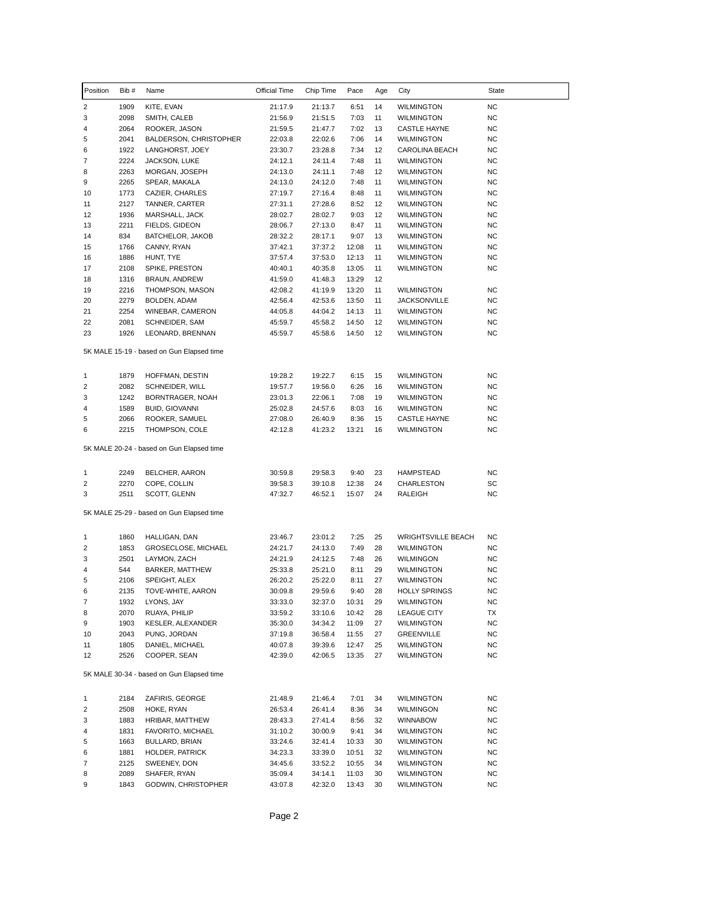| Position | Bib # | Name                                      | Official Time | Chip Time | Pace  | Age | City                      | State     |
|----------|-------|-------------------------------------------|---------------|-----------|-------|-----|---------------------------|-----------|
| 2        | 1909  | KITE, EVAN                                | 21:17.9       | 21:13.7   | 6:51  | 14  | <b>WILMINGTON</b>         | ΝC        |
| 3        | 2098  | SMITH, CALEB                              | 21:56.9       | 21:51.5   | 7:03  | 11  | WILMINGTON                | <b>NC</b> |
| 4        | 2064  | ROOKER, JASON                             | 21:59.5       | 21:47.7   | 7:02  | 13  | <b>CASTLE HAYNE</b>       | ΝC        |
| 5        | 2041  | BALDERSON, CHRISTOPHER                    | 22:03.8       | 22:02.6   | 7:06  | 14  | WILMINGTON                | ΝC        |
| 6        | 1922  | LANGHORST, JOEY                           | 23:30.7       | 23:28.8   | 7:34  | 12  | CAROLINA BEACH            | ΝC        |
| 7        | 2224  | JACKSON, LUKE                             | 24:12.1       | 24:11.4   | 7:48  | 11  | <b>WILMINGTON</b>         | ΝC        |
| 8        | 2263  | MORGAN, JOSEPH                            | 24:13.0       | 24:11.1   | 7:48  | 12  | <b>WILMINGTON</b>         | ΝC        |
| 9        | 2265  | SPEAR, MAKALA                             | 24:13.0       | 24:12.0   | 7:48  | 11  | WILMINGTON                | ΝC        |
| 10       | 1773  | CAZIER, CHARLES                           | 27:19.7       | 27:16.4   | 8:48  | 11  | <b>WILMINGTON</b>         | ΝC        |
| 11       | 2127  | TANNER, CARTER                            | 27:31.1       | 27:28.6   | 8:52  | 12  | WILMINGTON                | ΝC        |
| 12       | 1936  | MARSHALL, JACK                            | 28:02.7       | 28:02.7   | 9:03  | 12  | <b>WILMINGTON</b>         | ΝC        |
| 13       | 2211  | FIELDS, GIDEON                            | 28:06.7       | 27:13.0   | 8:47  | 11  | <b>WILMINGTON</b>         | ΝC        |
| 14       | 834   | BATCHELOR, JAKOB                          | 28:32.2       | 28:17.1   | 9:07  | 13  | <b>WILMINGTON</b>         | ΝC        |
| 15       | 1766  | CANNY, RYAN                               | 37:42.1       | 37:37.2   | 12:08 | 11  | <b>WILMINGTON</b>         | ΝC        |
| 16       | 1886  | HUNT, TYE                                 | 37:57.4       | 37:53.0   | 12:13 | 11  | <b>WILMINGTON</b>         | ΝC        |
| 17       | 2108  | SPIKE, PRESTON                            | 40:40.1       | 40:35.8   | 13:05 | 11  | <b>WILMINGTON</b>         | ΝC        |
| 18       | 1316  | <b>BRAUN, ANDREW</b>                      | 41:59.0       | 41:48.3   | 13:29 | 12  |                           |           |
| 19       | 2216  | THOMPSON, MASON                           | 42:08.2       | 41:19.9   | 13:20 | 11  | <b>WILMINGTON</b>         | ΝC        |
| 20       | 2279  | BOLDEN, ADAM                              | 42:56.4       | 42:53.6   | 13:50 | 11  | <b>JACKSONVILLE</b>       | ΝC        |
| 21       | 2254  | WINEBAR, CAMERON                          | 44:05.8       | 44:04.2   | 14:13 | 11  | WILMINGTON                | ΝC        |
| 22       | 2081  | SCHNEIDER, SAM                            | 45:59.7       | 45:58.2   | 14:50 | 12  | <b>WILMINGTON</b>         | ΝC        |
| 23       | 1926  | LEONARD, BRENNAN                          | 45:59.7       | 45:58.6   | 14:50 | 12  | <b>WILMINGTON</b>         | <b>NC</b> |
|          |       | 5K MALE 15-19 - based on Gun Elapsed time |               |           |       |     |                           |           |
| 1        | 1879  | HOFFMAN, DESTIN                           | 19:28.2       | 19:22.7   | 6:15  | 15  | <b>WILMINGTON</b>         | ΝC        |
| 2        | 2082  | SCHNEIDER, WILL                           | 19:57.7       | 19:56.0   | 6:26  | 16  | WILMINGTON                | ΝC        |
| 3        | 1242  | BORNTRAGER, NOAH                          | 23:01.3       | 22:06.1   | 7:08  | 19  | <b>WILMINGTON</b>         | ΝC        |
| 4        | 1589  | <b>BUID, GIOVANNI</b>                     | 25:02.8       | 24:57.6   | 8:03  | 16  | WILMINGTON                | ΝC        |
| 5        | 2066  | ROOKER, SAMUEL                            | 27:08.0       | 26:40.9   | 8:36  | 15  | CASTLE HAYNE              | ΝC        |
| 6        | 2215  | THOMPSON, COLE                            | 42:12.8       | 41:23.2   | 13:21 | 16  | WILMINGTON                | <b>NC</b> |
|          |       | 5K MALE 20-24 - based on Gun Elapsed time |               |           |       |     |                           |           |
| 1        | 2249  | BELCHER, AARON                            | 30:59.8       | 29:58.3   | 9:40  | 23  | <b>HAMPSTEAD</b>          | ΝC        |
| 2        | 2270  | COPE, COLLIN                              | 39:58.3       | 39:10.8   | 12:38 | 24  | CHARLESTON                | SC        |
| 3        | 2511  | SCOTT, GLENN                              | 47:32.7       | 46:52.1   | 15:07 | 24  | RALEIGH                   | ΝC        |
|          |       | 5K MALE 25-29 - based on Gun Elapsed time |               |           |       |     |                           |           |
| 1        | 1860  | HALLIGAN, DAN                             | 23:46.7       | 23:01.2   | 7:25  | 25  | <b>WRIGHTSVILLE BEACH</b> | ΝC        |
| 2        | 1853  | <b>GROSECLOSE, MICHAEL</b>                | 24:21.7       | 24:13.0   | 7:49  | 28  | <b>WILMINGTON</b>         | ΝC        |
| 3        | 2501  | LAYMON, ZACH                              | 24:21.9       | 24:12.5   | 7:48  | 26  | WILMINGON                 | ΝC        |
| 4        | 544   | BARKER, MATTHEW                           | 25:33.8       | 25:21.0   | 8:11  | 29  | <b>WILMINGTON</b>         | NC        |
| 5        | 2106  | SPEIGHT, ALEX                             | 26:20.2       | 25:22.0   | 8:11  | 27  | <b>WILMINGTON</b>         | <b>NC</b> |
| 6        | 2135  | TOVE-WHITE, AARON                         | 30:09.8       | 29:59.6   | 9:40  | 28  | HOLLY SPRINGS             | <b>NC</b> |
| 7        | 1932  | LYONS, JAY                                | 33:33.0       | 32:37.0   | 10:31 | 29  | <b>WILMINGTON</b>         | NC        |
| 8        | 2070  | RUAYA, PHILIP                             | 33:59.2       | 33:10.6   | 10:42 | 28  | <b>LEAGUE CITY</b>        | ТX        |
| 9        | 1903  | KESLER, ALEXANDER                         | 35:30.0       | 34:34.2   | 11:09 | 27  | <b>WILMINGTON</b>         | NC        |
| 10       | 2043  | PUNG, JORDAN                              | 37:19.8       | 36:58.4   | 11:55 | 27  | GREENVILLE                | ΝC        |
| 11       | 1805  | DANIEL, MICHAEL                           | 40:07.8       | 39:39.6   | 12:47 | 25  | <b>WILMINGTON</b>         | NC        |
| 12       | 2526  | COOPER, SEAN                              | 42:39.0       | 42:06.5   | 13:35 | 27  | <b>WILMINGTON</b>         | <b>NC</b> |
|          |       | 5K MALE 30-34 - based on Gun Elapsed time |               |           |       |     |                           |           |
| 1        | 2184  | ZAFIRIS, GEORGE                           | 21:48.9       | 21:46.4   | 7:01  | 34  | <b>WILMINGTON</b>         | NC        |
| 2        | 2508  | HOKE, RYAN                                | 26:53.4       | 26:41.4   | 8:36  | 34  | WILMINGON                 | NC        |
| 3        | 1883  | HRIBAR, MATTHEW                           | 28:43.3       | 27:41.4   | 8:56  | 32  | WINNABOW                  | ΝC        |
| 4        | 1831  | FAVORITO, MICHAEL                         | 31:10.2       | 30:00.9   | 9:41  | 34  | <b>WILMINGTON</b>         | ΝC        |
| 5        | 1663  | BULLARD, BRIAN                            | 33:24.6       | 32:41.4   | 10:33 | 30  | <b>WILMINGTON</b>         | NC        |
| 6        | 1881  | HOLDER, PATRICK                           | 34:23.3       | 33:39.0   | 10:51 | 32  | <b>WILMINGTON</b>         | NC        |
| 7        | 2125  | SWEENEY, DON                              | 34:45.6       | 33:52.2   | 10:55 | 34  | <b>WILMINGTON</b>         | ΝC        |
| 8        | 2089  | SHAFER, RYAN                              | 35:09.4       | 34:14.1   | 11:03 | 30  | WILMINGTON                | ΝC        |
| 9        | 1843  | GODWIN, CHRISTOPHER                       | 43:07.8       | 42:32.0   | 13:43 | 30  | WILMINGTON                | NC        |
|          |       |                                           |               |           |       |     |                           |           |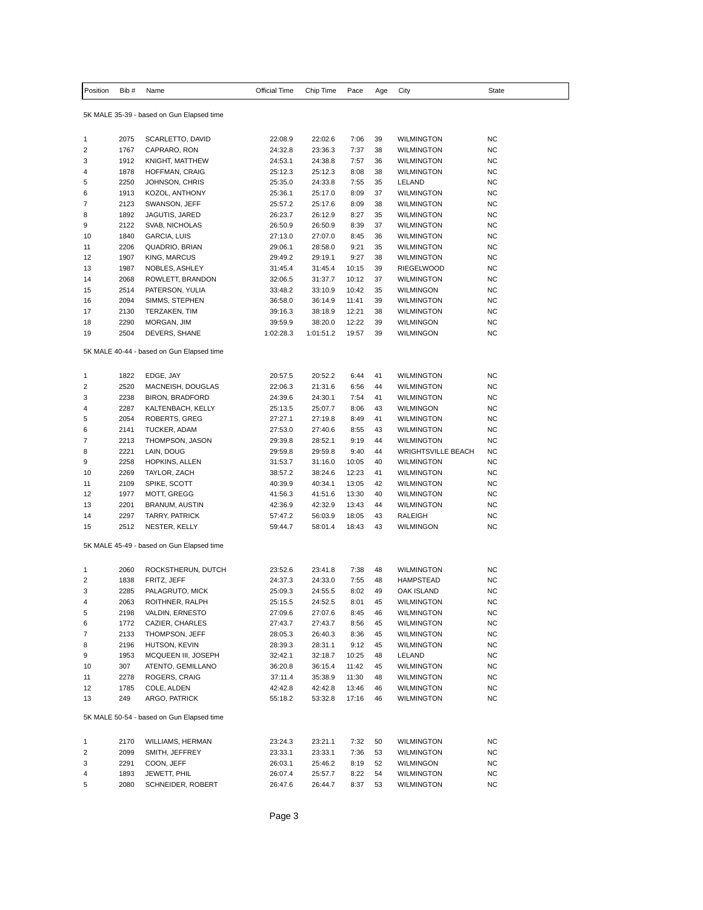| Position                | Bib #        | Name                                                       | Official Time      | Chip Time            | Pace         | Age | City                           | State     |
|-------------------------|--------------|------------------------------------------------------------|--------------------|----------------------|--------------|-----|--------------------------------|-----------|
|                         |              | 5K MALE 35-39 - based on Gun Elapsed time                  |                    |                      |              |     |                                |           |
| 1                       | 2075         | SCARLETTO, DAVID                                           | 22:08.9            | 22:02.6              | 7:06         | 39  | WILMINGTON                     | NC        |
| $\overline{\mathbf{c}}$ | 1767         | CAPRARO, RON                                               | 24:32.8            | 23:36.3              | 7:37         | 38  | <b>WILMINGTON</b>              | <b>NC</b> |
| 3                       | 1912         | KNIGHT, MATTHEW                                            | 24:53.1            | 24:38.8              | 7:57         | 36  | <b>WILMINGTON</b>              | NC        |
| 4                       | 1878         | HOFFMAN, CRAIG                                             | 25:12.3            | 25:12.3              | 8:08         | 38  | <b>WILMINGTON</b>              | NC        |
| 5                       | 2250         | JOHNSON, CHRIS                                             | 25:35.0            | 24:33.8              | 7:55         | 35  | LELAND                         | NC        |
| 6                       | 1913         | KOZOL, ANTHONY                                             | 25:36.1            | 25:17.0              | 8:09         | 37  | <b>WILMINGTON</b>              | NC        |
| 7                       | 2123         | SWANSON, JEFF                                              | 25:57.2            | 25:17.6              | 8:09         | 38  | <b>WILMINGTON</b>              | <b>NC</b> |
| 8                       | 1892         | JAGUTIS, JARED                                             | 26:23.7            | 26:12.9              | 8:27         | 35  | WILMINGTON                     | <b>NC</b> |
| 9                       | 2122         | SVAB, NICHOLAS                                             | 26:50.9            | 26:50.9              | 8:39         | 37  | WILMINGTON                     | <b>NC</b> |
| 10                      | 1840         | GARCIA, LUIS                                               | 27:13.0            | 27:07.0              | 8:45         | 36  | <b>WILMINGTON</b>              | NC        |
| 11                      | 2206         | QUADRIO, BRIAN                                             | 29:06.1            | 28:58.0              | 9:21         | 35  | <b>WILMINGTON</b>              | NC        |
| 12                      | 1907         | <b>KING, MARCUS</b>                                        | 29:49.2            | 29:19.1              | 9:27         | 38  | <b>WILMINGTON</b>              | <b>NC</b> |
| 13                      | 1987         | NOBLES, ASHLEY                                             | 31:45.4            | 31:45.4              | 10:15        | 39  | <b>RIEGELWOOD</b>              | NC        |
| 14                      | 2068         | ROWLETT, BRANDON                                           | 32:06.5            | 31:37.7              | 10:12        | 37  | <b>WILMINGTON</b>              | NC        |
| 15                      | 2514         | PATERSON, YULIA                                            | 33:48.2            | 33:10.9              | 10:42        | 35  | WILMINGON                      | NC        |
| 16                      | 2094         | SIMMS, STEPHEN                                             | 36:58.0            | 36:14.9              | 11:41        | 39  | <b>WILMINGTON</b>              | <b>NC</b> |
| 17                      | 2130         |                                                            | 39:16.3            | 38:18.9              | 12:21        | 38  | WILMINGTON                     | NC        |
| 18                      |              | TERZAKEN, TIM                                              |                    |                      | 12:22        | 39  | WILMINGON                      | NC        |
|                         | 2290<br>2504 | MORGAN, JIM                                                | 39:59.9            | 38:20.0<br>1:01:51.2 |              | 39  |                                |           |
| 19                      |              | DEVERS, SHANE                                              | 1:02:28.3          |                      | 19:57        |     | WILMINGON                      | NC        |
|                         |              | 5K MALE 40-44 - based on Gun Elapsed time                  |                    |                      |              |     |                                |           |
|                         | 1822         | EDGE, JAY                                                  | 20:57.5            | 20:52.2              | 6:44         | 41  | <b>WILMINGTON</b>              | <b>NC</b> |
| 1<br>2                  | 2520         | MACNEISH, DOUGLAS                                          | 22:06.3            | 21:31.6              | 6:56         | 44  | <b>WILMINGTON</b>              | NC        |
| 3                       | 2238         | <b>BIRON, BRADFORD</b>                                     | 24:39.6            | 24:30.1              | 7:54         | 41  | WILMINGTON                     | <b>NC</b> |
|                         | 2287         |                                                            |                    |                      |              | 43  |                                | NC        |
| 4<br>5                  | 2054         | KALTENBACH, KELLY                                          | 25:13.5            | 25:07.7              | 8:06<br>8:49 | 41  | WILMINGON<br><b>WILMINGTON</b> | NC        |
| 6                       | 2141         | ROBERTS, GREG<br>TUCKER, ADAM                              | 27:27.1<br>27:53.0 | 27:19.8<br>27:40.6   | 8:55         | 43  | <b>WILMINGTON</b>              | <b>NC</b> |
| 7                       | 2213         | THOMPSON, JASON                                            |                    |                      | 9:19         | 44  | WILMINGTON                     | <b>NC</b> |
| 8                       | 2221         | LAIN, DOUG                                                 | 29:39.8<br>29:59.8 | 28:52.1<br>29:59.8   | 9:40         | 44  | <b>WRIGHTSVILLE BEACH</b>      | NC        |
| 9                       | 2258         | HOPKINS, ALLEN                                             | 31:53.7            | 31:16.0              | 10:05        | 40  | WILMINGTON                     | NC        |
| 10                      | 2269         | TAYLOR, ZACH                                               | 38:57.2            | 38:24.6              | 12:23        | 41  | <b>WILMINGTON</b>              | <b>NC</b> |
| 11                      | 2109         | SPIKE, SCOTT                                               | 40:39.9            | 40:34.1              | 13:05        | 42  | WILMINGTON                     | <b>NC</b> |
| 12                      | 1977         | MOTT, GREGG                                                | 41:56.3            | 41:51.6              | 13:30        | 40  | WILMINGTON                     | NC        |
| 13                      | 2201         | BRANUM, AUSTIN                                             | 42:36.9            | 42:32.9              | 13:43        | 44  | <b>WILMINGTON</b>              | NC        |
| 14                      | 2297         | TARRY, PATRICK                                             |                    | 56:03.9              | 18:05        | 43  | RALEIGH                        | NC        |
| 15                      | 2512         |                                                            | 57:47.2<br>59:44.7 | 58:01.4              | 18:43        | 43  | WILMINGON                      | <b>NC</b> |
|                         |              | NESTER, KELLY<br>5K MALE 45-49 - based on Gun Elapsed time |                    |                      |              |     |                                |           |
|                         |              |                                                            |                    |                      |              |     |                                |           |
| 1                       | 2060         | ROCKSTHERUN, DUTCH                                         | 23:52.6            | 23:41.8              | 7:38         | 48  | WILMINGTON                     | <b>NC</b> |
| $\overline{2}$          | 1838         | FRITZ, JEFF                                                | 24:37.3            | 24:33.0              | 7:55         | 48  | <b>HAMPSTEAD</b>               | NC        |
| 3                       | 2285         | PALAGRUTO, MICK                                            | 25:09.3            | 24:55.5              | 8:02         | 49  | OAK ISLAND                     | <b>NC</b> |
| 4                       | 2063         | ROITHNER, RALPH                                            | 25:15.5            | 24:52.5              | 8:01         | 45  | WILMINGTON                     | <b>NC</b> |
| 5                       | 2198         | VALDIN, ERNESTO                                            | 27:09.6            | 27:07.6              | 8:45         | 46  | WILMINGTON                     | NC        |
| 6                       | 1772         | CAZIER, CHARLES                                            | 27:43.7            | 27:43.7              | 8:56         | 45  | WILMINGTON                     | <b>NC</b> |
| 7                       | 2133         | THOMPSON, JEFF                                             | 28:05.3            | 26:40.3              | 8:36         | 45  | WILMINGTON                     | NC        |
| 8                       | 2196         | HUTSON, KEVIN                                              | 28:39.3            | 28:31.1              | 9:12         | 45  | WILMINGTON                     | <b>NC</b> |
| 9                       | 1953         | MCQUEEN III, JOSEPH                                        | 32:42.1            | 32:18.7              | 10:25        | 48  | LELAND                         | <b>NC</b> |
| 10                      | 307          | ATENTO, GEMILLANO                                          | 36:20.8            | 36:15.4              | 11:42        | 45  | WILMINGTON                     | NC.       |
| 11                      | 2278         | ROGERS, CRAIG                                              | 37:11.4            | 35:38.9              | 11:30        | 48  | <b>WILMINGTON</b>              | <b>NC</b> |
| 12                      | 1785         | COLE, ALDEN                                                | 42:42.8            | 42:42.8              | 13:46        | 46  | WILMINGTON                     | NC.       |
| 13                      | 249          | ARGO, PATRICK                                              | 55:18.2            | 53:32.8              | 17:16        | 46  | <b>WILMINGTON</b>              | NC.       |
|                         |              | 5K MALE 50-54 - based on Gun Elapsed time                  |                    |                      |              |     |                                |           |
| $\mathbf{1}$            | 2170         | WILLIAMS, HERMAN                                           | 23:24.3            | 23:21.1              | 7:32         | 50  | WILMINGTON                     | <b>NC</b> |
| 2                       | 2099         | SMITH, JEFFREY                                             | 23:33.1            | 23:33.1              | 7:36         | 53  | WILMINGTON                     | NC.       |
| 3                       | 2291         | COON, JEFF                                                 | 26:03.1            | 25:46.2              | 8:19         | 52  | WILMINGON                      | <b>NC</b> |
| 4                       | 1893         | JEWETT, PHIL                                               | 26:07.4            | 25:57.7              | 8:22         | 54  | WILMINGTON                     | NC        |
| 5                       | 2080         | SCHNEIDER, ROBERT                                          | 26:47.6            | 26:44.7              | 8:37         | 53  | WILMINGTON                     | NC.       |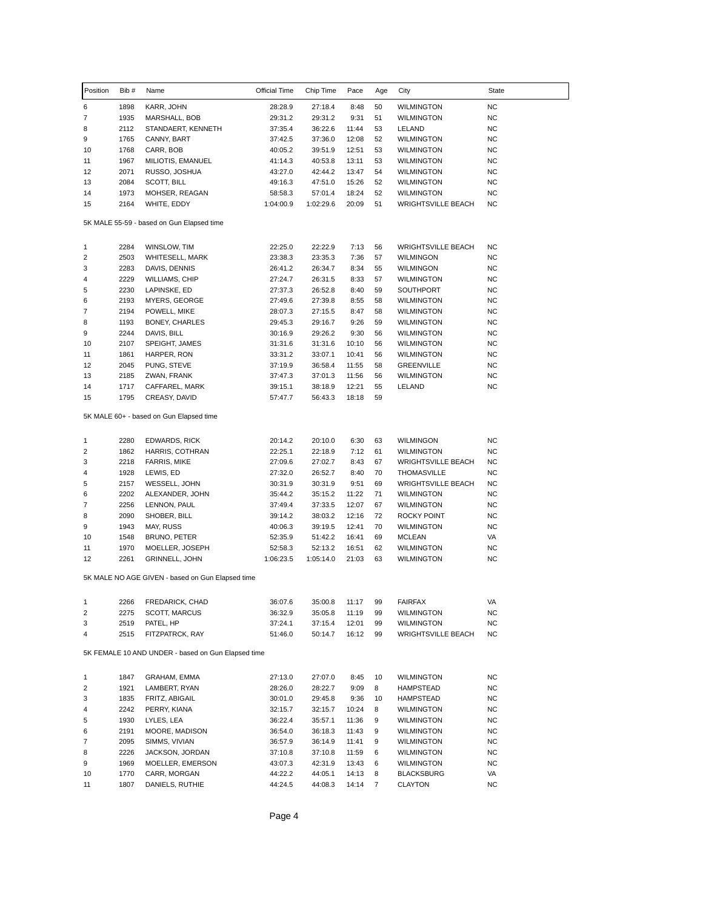| Position | Bib#         | Name                                               | Official Time      | Chip Time          | Pace           | Age      | City                      | State     |
|----------|--------------|----------------------------------------------------|--------------------|--------------------|----------------|----------|---------------------------|-----------|
| 6        | 1898         | KARR, JOHN                                         | 28:28.9            | 27:18.4            | 8:48           | 50       | <b>WILMINGTON</b>         | NC.       |
| 7        | 1935         | MARSHALL, BOB                                      | 29:31.2            | 29:31.2            | 9:31           | 51       | <b>WILMINGTON</b>         | <b>NC</b> |
| 8        | 2112         | STANDAERT, KENNETH                                 | 37:35.4            | 36:22.6            | 11:44          | 53       | LELAND                    | <b>NC</b> |
| 9        | 1765         | CANNY, BART                                        | 37:42.5            | 37:36.0            | 12:08          | 52       | <b>WILMINGTON</b>         | ΝC        |
| 10       | 1768         | CARR, BOB                                          | 40:05.2            | 39:51.9            | 12:51          | 53       | <b>WILMINGTON</b>         | NC        |
| 11       | 1967         | MILIOTIS, EMANUEL                                  | 41:14.3            | 40:53.8            | 13:11          | 53       | <b>WILMINGTON</b>         | <b>NC</b> |
| 12       | 2071         | RUSSO, JOSHUA                                      | 43:27.0            | 42:44.2            | 13:47          | 54       | <b>WILMINGTON</b>         | NC        |
| 13       | 2084         | SCOTT, BILL                                        | 49:16.3            | 47:51.0            | 15:26          | 52       | <b>WILMINGTON</b>         | NC        |
| 14       | 1973         | MOHSER, REAGAN                                     | 58:58.3            | 57:01.4            | 18:24          | 52       | <b>WILMINGTON</b>         | NC        |
| 15       | 2164         | WHITE, EDDY                                        | 1:04:00.9          | 1:02:29.6          | 20:09          | 51       | <b>WRIGHTSVILLE BEACH</b> | NC        |
|          |              | 5K MALE 55-59 - based on Gun Elapsed time          |                    |                    |                |          |                           |           |
| 1        | 2284         | WINSLOW, TIM                                       | 22:25.0            | 22:22.9            | 7:13           | 56       | <b>WRIGHTSVILLE BEACH</b> | ΝC        |
| 2        | 2503         | WHITESELL, MARK                                    | 23:38.3            | 23:35.3            | 7:36           | 57       | WILMINGON                 | <b>NC</b> |
| 3        | 2283         | DAVIS, DENNIS                                      | 26:41.2            | 26:34.7            | 8:34           | 55       | WILMINGON                 | ΝC        |
| 4        | 2229         | WILLIAMS, CHIP                                     | 27:24.7            | 26:31.5            | 8:33           | 57       | <b>WILMINGTON</b>         | NC        |
| 5        | 2230         | LAPINSKE, ED                                       | 27:37.3            | 26:52.8            | 8:40           | 59       | SOUTHPORT                 | <b>NC</b> |
| 6        | 2193         | MYERS, GEORGE                                      | 27:49.6            | 27:39.8            | 8:55           | 58       | WILMINGTON                | <b>NC</b> |
| 7        | 2194         | POWELL, MIKE                                       | 28:07.3            | 27:15.5            | 8:47           | 58       | WILMINGTON                | NC        |
| 8        | 1193         | BONEY, CHARLES                                     | 29:45.3            | 29:16.7            | 9:26           | 59       | <b>WILMINGTON</b>         | NC        |
| 9        | 2244         | DAVIS, BILL                                        | 30:16.9            | 29:26.2            | 9:30           | 56       | <b>WILMINGTON</b>         | <b>NC</b> |
| 10       | 2107         | SPEIGHT, JAMES                                     | 31:31.6            | 31:31.6            | 10:10          | 56       | <b>WILMINGTON</b>         | <b>NC</b> |
| 11       | 1861         | HARPER, RON                                        | 33:31.2            | 33:07.1            | 10:41          | 56       | <b>WILMINGTON</b>         | NC        |
| 12       | 2045         | PUNG, STEVE                                        | 37:19.9            | 36:58.4            | 11:55          | 58       | GREENVILLE                | NC        |
| 13       | 2185         | ZWAN, FRANK                                        | 37:47.3            | 37:01.3            | 11:56          | 56<br>55 | <b>WILMINGTON</b>         | NC        |
| 14<br>15 | 1717<br>1795 | CAFFAREL, MARK<br>CREASY, DAVID                    | 39:15.1<br>57:47.7 | 38:18.9<br>56:43.3 | 12:21<br>18:18 | 59       | LELAND                    | NC        |
|          |              | 5K MALE 60+ - based on Gun Elapsed time            |                    |                    |                |          |                           |           |
| 1        | 2280         | <b>EDWARDS, RICK</b>                               | 20:14.2            | 20:10.0            | 6:30           | 63       | WILMINGON                 | <b>NC</b> |
| 2        | 1862         | HARRIS, COTHRAN                                    | 22:25.1            | 22:18.9            | 7:12           | 61       | <b>WILMINGTON</b>         | NC        |
| 3        | 2218         | FARRIS, MIKE                                       | 27:09.6            | 27:02.7            | 8:43           | 67       | <b>WRIGHTSVILLE BEACH</b> | NC        |
| 4        | 1928         | LEWIS, ED                                          | 27:32.0            | 26:52.7            | 8:40           | 70       | <b>THOMASVILLE</b>        | ΝC        |
| 5        | 2157         | WESSELL, JOHN                                      | 30:31.9            | 30:31.9            | 9:51           | 69       | <b>WRIGHTSVILLE BEACH</b> | <b>NC</b> |
| 6        | 2202         | ALEXANDER, JOHN                                    | 35:44.2            | 35:15.2            | 11:22          | 71       | <b>WILMINGTON</b>         | ΝC        |
| 7        | 2256         | LENNON, PAUL                                       | 37:49.4            | 37:33.5            | 12:07          | 67       | <b>WILMINGTON</b>         | NC        |
| 8        | 2090         | SHOBER, BILL                                       | 39:14.2            | 38:03.2            | 12:16          | 72       | ROCKY POINT               | NC        |
| 9        | 1943         | MAY, RUSS                                          | 40:06.3            | 39:19.5            | 12:41          | 70       | <b>WILMINGTON</b>         | <b>NC</b> |
| 10       | 1548         | BRUNO, PETER                                       | 52:35.9            | 51:42.2            | 16:41          | 69       | <b>MCLEAN</b>             | VA        |
| 11       | 1970         | MOELLER, JOSEPH                                    | 52:58.3            | 52:13.2            | 16:51          | 62       | <b>WILMINGTON</b>         | NC        |
| 12       | 2261         | GRINNELL, JOHN                                     | 1:06:23.5          | 1:05:14.0          | 21:03          | 63       | <b>WILMINGTON</b>         | <b>NC</b> |
|          |              | 5K MALE NO AGE GIVEN - based on Gun Elapsed time   |                    |                    |                |          |                           |           |
| 1        | 2266         | FREDARICK, CHAD                                    | 36:07.6            | 35:00.8            | 11:17          | 99       | <b>FAIRFAX</b>            | VA        |
| 2        | 2275         | SCOTT, MARCUS                                      | 36:32.9            | 35:05.8            | 11:19          | 99       | <b>WILMINGTON</b>         | NC        |
| 3        | 2519         | PATEL, HP                                          | 37:24.1            | 37:15.4            | 12:01          | 99       | <b>WILMINGTON</b>         | ΝC        |
| 4        | 2515         | FITZPATRCK, RAY                                    | 51:46.0            | 50:14.7            | 16:12          | 99       | <b>WRIGHTSVILLE BEACH</b> | NC        |
|          |              | 5K FEMALE 10 AND UNDER - based on Gun Elapsed time |                    |                    |                |          |                           |           |
| 1        | 1847         | GRAHAM, EMMA                                       | 27:13.0            | 27:07.0            | 8:45           | 10       | <b>WILMINGTON</b>         | NC        |
| 2        | 1921         | LAMBERT, RYAN                                      | 28:26.0            | 28:22.7            | 9:09           | 8        | <b>HAMPSTEAD</b>          | NC        |
| 3        | 1835         | FRITZ, ABIGAIL                                     | 30:01.0            | 29:45.8            | 9:36           | 10       | <b>HAMPSTEAD</b>          | <b>NC</b> |
| 4        | 2242         | PERRY, KIANA                                       | 32:15.7            | 32:15.7            | 10:24          | 8        | WILMINGTON                | NC        |
| 5        | 1930         | LYLES, LEA                                         | 36:22.4            | 35:57.1            | 11:36          | 9        | <b>WILMINGTON</b>         | ΝC        |
| 6        | 2191         | MOORE, MADISON                                     | 36:54.0            | 36:18.3            | 11:43          | 9        | <b>WILMINGTON</b>         | NC        |
| 7        | 2095         | SIMMS, VIVIAN                                      | 36:57.9            | 36:14.9            | 11:41          | 9        | <b>WILMINGTON</b>         | NC        |
| 8        | 2226         | JACKSON, JORDAN                                    | 37:10.8            | 37:10.8            | 11:59          | 6        | <b>WILMINGTON</b>         | <b>NC</b> |
| 9        | 1969         | MOELLER, EMERSON                                   | 43:07.3            | 42:31.9            | 13:43          | 6        | <b>WILMINGTON</b>         | ΝC        |
| 10       | 1770         | CARR, MORGAN                                       | 44:22.2            | 44:05.1            | 14:13          | 8        | BLACKSBURG                | VA        |
| 11       | 1807         | DANIELS, RUTHIE                                    | 44:24.5            | 44:08.3            | 14:14          | 7        | CLAYTON                   | NC        |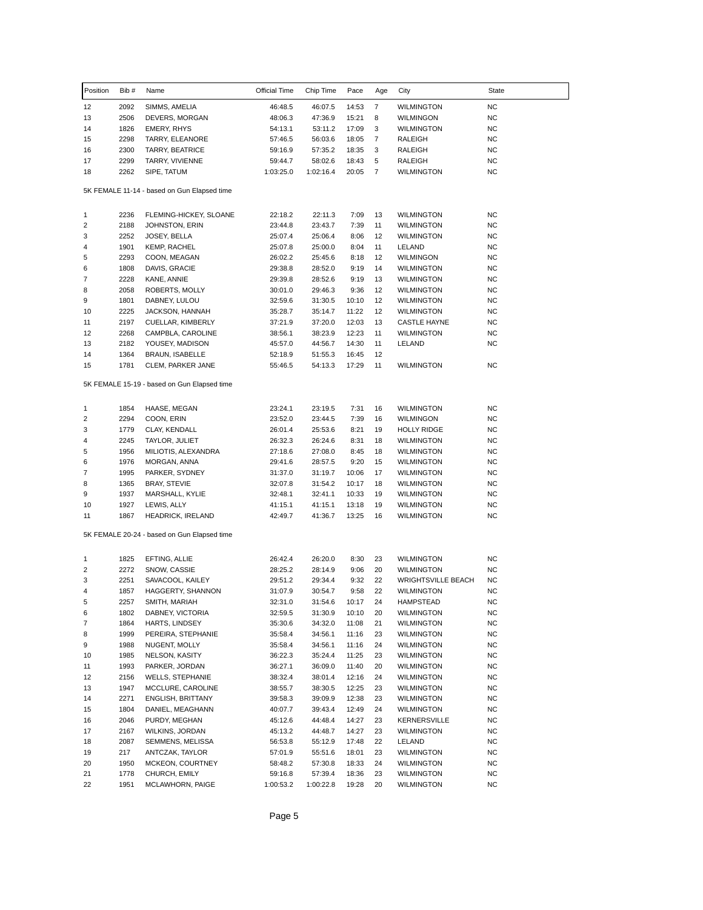| Position | Bib # | Name                                        | Official Time | Chip Time | Pace  | Age            | City                      | State       |
|----------|-------|---------------------------------------------|---------------|-----------|-------|----------------|---------------------------|-------------|
| 12       | 2092  | SIMMS, AMELIA                               | 46:48.5       | 46:07.5   | 14:53 | 7              | <b>WILMINGTON</b>         | <b>NC</b>   |
| 13       | 2506  | DEVERS, MORGAN                              | 48:06.3       | 47:36.9   | 15:21 | 8              | <b>WILMINGON</b>          | <b>NC</b>   |
| 14       | 1826  | <b>EMERY, RHYS</b>                          | 54:13.1       | 53:11.2   | 17:09 | 3              | <b>WILMINGTON</b>         | <b>NC</b>   |
| 15       | 2298  | TARRY, ELEANORE                             | 57:46.5       | 56:03.6   | 18:05 | $\overline{7}$ | RALEIGH                   | NC          |
| 16       | 2300  | TARRY, BEATRICE                             | 59:16.9       | 57:35.2   | 18:35 | 3              | RALEIGH                   | NC          |
| 17       | 2299  | TARRY, VIVIENNE                             | 59:44.7       | 58:02.6   | 18:43 | 5              | RALEIGH                   | <b>NC</b>   |
| 18       | 2262  | SIPE, TATUM                                 | 1:03:25.0     | 1:02:16.4 | 20:05 | 7              | <b>WILMINGTON</b>         | <b>NC</b>   |
|          |       | 5K FEMALE 11-14 - based on Gun Elapsed time |               |           |       |                |                           |             |
| 1        | 2236  | FLEMING-HICKEY, SLOANE                      | 22:18.2       | 22:11.3   | 7:09  | 13             | WILMINGTON                | NC          |
| 2        | 2188  | JOHNSTON, ERIN                              | 23:44.8       | 23:43.7   | 7:39  | 11             | WILMINGTON                | NC          |
| 3        | 2252  | JOSEY, BELLA                                | 25:07.4       | 25:06.4   | 8:06  | 12             | <b>WILMINGTON</b>         | NC          |
| 4        | 1901  | KEMP, RACHEL                                | 25:07.8       | 25:00.0   | 8:04  | 11             | LELAND                    | NC          |
| 5        | 2293  | COON, MEAGAN                                | 26:02.2       | 25:45.6   | 8:18  | 12             | WILMINGON                 | <b>NC</b>   |
| 6        | 1808  | DAVIS, GRACIE                               | 29:38.8       | 28:52.0   | 9:19  | 14             | WILMINGTON                | <b>NC</b>   |
| 7        | 2228  | KANE, ANNIE                                 | 29:39.8       | 28:52.6   | 9:19  | 13             | <b>WILMINGTON</b>         | <b>NC</b>   |
| 8        | 2058  | ROBERTS, MOLLY                              | 30:01.0       | 29:46.3   | 9:36  | 12             | <b>WILMINGTON</b>         | NC          |
| 9        | 1801  | DABNEY, LULOU                               | 32:59.6       | 31:30.5   | 10:10 | 12             | WILMINGTON                | NC          |
| 10       | 2225  | JACKSON, HANNAH                             | 35:28.7       | 35:14.7   | 11:22 | 12             | WILMINGTON                | NC          |
| 11       | 2197  | CUELLAR, KIMBERLY                           | 37:21.9       | 37:20.0   | 12:03 | 13             | <b>CASTLE HAYNE</b>       | NC          |
| 12       | 2268  | CAMPBLA, CAROLINE                           | 38:56.1       | 38:23.9   | 12:23 | 11             | <b>WILMINGTON</b>         | <b>NC</b>   |
| 13       | 2182  | YOUSEY, MADISON                             | 45:57.0       | 44:56.7   | 14:30 | 11             | LELAND                    | NC          |
| 14       | 1364  | BRAUN, ISABELLE                             | 52:18.9       | 51:55.3   | 16:45 | 12             |                           |             |
| 15       | 1781  | CLEM, PARKER JANE                           | 55:46.5       | 54:13.3   | 17:29 | 11             | WILMINGTON                | NC          |
|          |       |                                             |               |           |       |                |                           |             |
|          |       | 5K FEMALE 15-19 - based on Gun Elapsed time |               |           |       |                |                           |             |
| 1        | 1854  | HAASE, MEGAN                                | 23:24.1       | 23:19.5   | 7:31  | 16             | WILMINGTON                | NC          |
| 2        | 2294  | COON, ERIN                                  | 23:52.0       | 23:44.5   | 7:39  | 16             | WILMINGON                 | NC          |
| 3        | 1779  | CLAY, KENDALL                               | 26:01.4       | 25:53.6   | 8:21  | 19             | <b>HOLLY RIDGE</b>        | <b>NC</b>   |
| 4        | 2245  | TAYLOR, JULIET                              | 26:32.3       | 26:24.6   | 8:31  | 18             | WILMINGTON                | <b>NC</b>   |
| 5        | 1956  | MILIOTIS, ALEXANDRA                         | 27:18.6       | 27:08.0   | 8:45  | 18             | WILMINGTON                | NC          |
| 6        | 1976  | MORGAN, ANNA                                | 29:41.6       | 28:57.5   | 9:20  | 15             | <b>WILMINGTON</b>         | NC          |
| 7        | 1995  | PARKER, SYDNEY                              | 31:37.0       | 31:19.7   | 10:06 | 17             | WILMINGTON                | NC          |
| 8        | 1365  | <b>BRAY, STEVIE</b>                         | 32:07.8       | 31:54.2   | 10:17 | 18             | <b>WILMINGTON</b>         | <b>NC</b>   |
| 9        | 1937  | MARSHALL, KYLIE                             | 32:48.1       | 32:41.1   | 10:33 | 19             | WILMINGTON                | NC          |
| 10       | 1927  | LEWIS, ALLY                                 | 41:15.1       | 41:15.1   | 13:18 | 19             | WILMINGTON                | NC          |
| 11       | 1867  | HEADRICK, IRELAND                           | 42:49.7       | 41:36.7   | 13:25 | 16             | WILMINGTON                | <b>NC</b>   |
|          |       | 5K FEMALE 20-24 - based on Gun Elapsed time |               |           |       |                |                           |             |
| 1        | 1825  | EFTING, ALLIE                               | 26:42.4       | 26:20.0   | 8:30  | 23             | <b>WILMINGTON</b>         | NC          |
| 2        | 2272  | SNOW, CASSIE                                | 28:25.2       | 28:14.9   | 9:06  | 20             | WILMINGTON                | <b>NC</b>   |
| 3        | 2251  | SAVACOOL, KAILEY                            | 29:51.2       | 29:34.4   | 9:32  | 22             | <b>WRIGHTSVILLE BEACH</b> | <b>NC</b>   |
| 4        | 1857  | HAGGERTY, SHANNON                           | 31:07.9       | 30:54.7   | 9:58  | 22             | WILMINGTON                | <b>NC</b>   |
| 5        | 2257  | SMITH, MARIAH                               | 32:31.0       | 31:54.6   | 10:17 | 24             | HAMPSTEAD                 | <b>NC</b>   |
| 6        | 1802  | DABNEY, VICTORIA                            | 32:59.5       | 31:30.9   | 10:10 | 20             | WILMINGTON                | $_{\rm NC}$ |
| 7        | 1864  | HARTS, LINDSEY                              | 35:30.6       | 34:32.0   | 11:08 | 21             | WILMINGTON                | <b>NC</b>   |
| 8        | 1999  | PEREIRA, STEPHANIE                          | 35:58.4       | 34:56.1   | 11:16 | 23             | WILMINGTON                | <b>NC</b>   |
| 9        | 1988  | NUGENT, MOLLY                               | 35:58.4       | 34:56.1   | 11:16 | 24             | WILMINGTON                | <b>NC</b>   |
| 10       | 1985  | NELSON, KASITY                              | 36:22.3       | 35:24.4   | 11:25 | 23             | <b>WILMINGTON</b>         | <b>NC</b>   |
| 11       | 1993  | PARKER, JORDAN                              | 36:27.1       | 36:09.0   | 11:40 | 20             | WILMINGTON                | NC.         |
| 12       | 2156  | <b>WELLS, STEPHANIE</b>                     | 38:32.4       | 38:01.4   | 12:16 | 24             | <b>WILMINGTON</b>         | <b>NC</b>   |
| 13       | 1947  | MCCLURE, CAROLINE                           | 38:55.7       | 38:30.5   | 12:25 | 23             | WILMINGTON                | <b>NC</b>   |
| 14       | 2271  | ENGLISH, BRITTANY                           | 39:58.3       | 39:09.9   | 12:38 | 23             | WILMINGTON                | <b>NC</b>   |
| 15       | 1804  | DANIEL, MEAGHANN                            | 40:07.7       | 39:43.4   | 12:49 | 24             | <b>WILMINGTON</b>         | NC.         |
| 16       | 2046  | PURDY, MEGHAN                               | 45:12.6       | 44:48.4   | 14:27 | 23             | KERNERSVILLE              | NC.         |
| 17       | 2167  | WILKINS, JORDAN                             | 45:13.2       | 44:48.7   | 14:27 | 23             | WILMINGTON                | <b>NC</b>   |
| 18       | 2087  | SEMMENS, MELISSA                            | 56:53.8       | 55:12.9   | 17:48 | 22             | LELAND                    | <b>NC</b>   |
| 19       | 217   | ANTCZAK, TAYLOR                             | 57:01.9       | 55:51.6   | 18:01 | 23             | WILMINGTON                | <b>NC</b>   |
| 20       | 1950  | MCKEON, COURTNEY                            | 58:48.2       | 57:30.8   | 18:33 | 24             | WILMINGTON                | NC.         |
| 21       | 1778  | CHURCH, EMILY                               | 59:16.8       | 57:39.4   | 18:36 | 23             | WILMINGTON                | <b>NC</b>   |
| 22       | 1951  | MCLAWHORN, PAIGE                            | 1:00:53.2     | 1:00:22.8 | 19:28 | 20             | WILMINGTON                | <b>NC</b>   |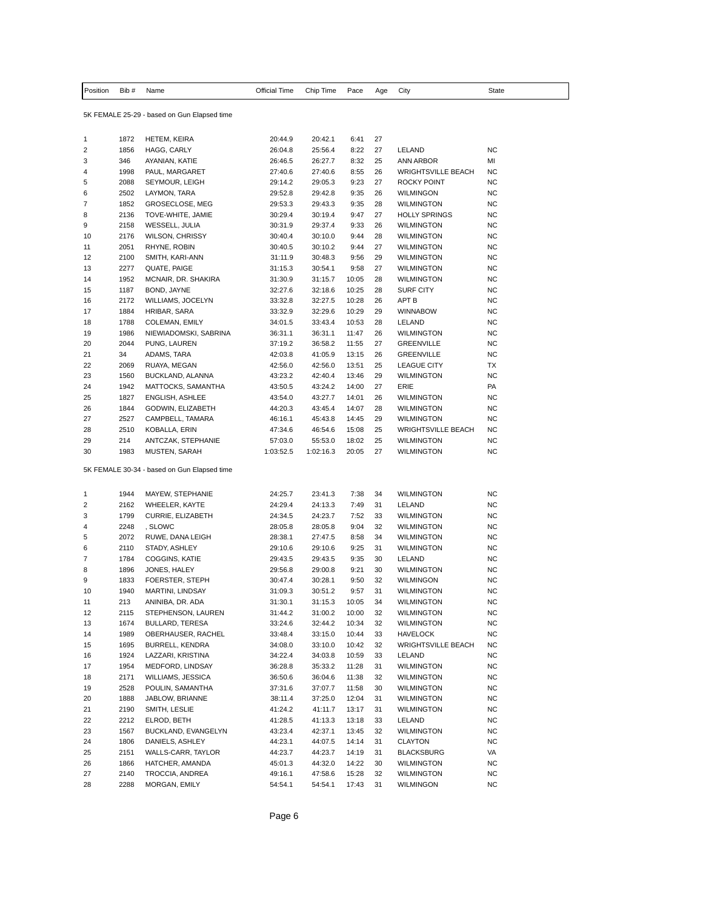| Position | Bib # Name | Official Time Chip Time Pace Age |  | City | State |
|----------|------------|----------------------------------|--|------|-------|
|          |            |                                  |  |      |       |

5K FEMALE 25-29 - based on Gun Elapsed time

| 1        | 1872         | <b>HETEM, KEIRA</b>                                             | 20:44.9            | 20:42.1            | 6:41           | 27       |                                       |           |
|----------|--------------|-----------------------------------------------------------------|--------------------|--------------------|----------------|----------|---------------------------------------|-----------|
| 2        | 1856         | HAGG, CARLY                                                     | 26:04.8            | 25:56.4            | 8:22           | 27       | LELAND                                | NC        |
| 3        | 346          | AYANIAN, KATIE                                                  | 26:46.5            | 26:27.7            | 8:32           | 25       | <b>ANN ARBOR</b>                      | MI        |
| 4        | 1998         | PAUL, MARGARET                                                  | 27:40.6            | 27:40.6            | 8:55           | 26       | <b>WRIGHTSVILLE BEACH</b>             | <b>NC</b> |
| 5        | 2088         | SEYMOUR, LEIGH                                                  | 29:14.2            | 29:05.3            | 9:23           | 27       | ROCKY POINT                           | <b>NC</b> |
| 6        | 2502         | LAYMON, TARA                                                    | 29:52.8            | 29:42.8            | 9:35           | 26       | <b>WILMINGON</b>                      | ΝC        |
| 7        | 1852         | GROSECLOSE, MEG                                                 | 29:53.3            | 29:43.3            | 9:35           | 28       | <b>WILMINGTON</b>                     | ΝC        |
| 8        | 2136         | TOVE-WHITE, JAMIE                                               | 30:29.4            | 30:19.4            | 9:47           | 27       | <b>HOLLY SPRINGS</b>                  | <b>NC</b> |
| 9        | 2158         | WESSELL, JULIA                                                  | 30:31.9            | 29:37.4            | 9:33           | 26       | WILMINGTON                            | <b>NC</b> |
| 10       | 2176         | <b>WILSON, CHRISSY</b>                                          | 30:40.4            | 30:10.0            | 9:44           | 28       | <b>WILMINGTON</b>                     | ΝC        |
| 11       |              |                                                                 |                    |                    |                |          |                                       |           |
|          | 2051         | RHYNE, ROBIN                                                    | 30:40.5            | 30:10.2            | 9:44           | 27       | <b>WILMINGTON</b>                     | ΝC        |
| 12       | 2100         | SMITH, KARI-ANN                                                 | 31:11.9            | 30:48.3            | 9:56           | 29       | <b>WILMINGTON</b>                     | <b>NC</b> |
| 13       | 2277         | QUATE, PAIGE                                                    | 31:15.3            | 30:54.1            | 9:58           | 27       | <b>WILMINGTON</b>                     | <b>NC</b> |
| 14       | 1952         | MCNAIR, DR. SHAKIRA                                             | 31:30.9            | 31:15.7            | 10:05          | 28       | <b>WILMINGTON</b>                     | NC        |
| 15       | 1187         | BOND, JAYNE                                                     | 32:27.6            | 32:18.6            | 10:25          | 28       | <b>SURF CITY</b>                      | ΝC        |
| 16       | 2172         | WILLIAMS, JOCELYN                                               | 33:32.8            | 32:27.5            | 10:28          | 26       | APT B                                 | ΝC        |
| 17       | 1884         | HRIBAR, SARA                                                    | 33:32.9            | 32:29.6            | 10:29          | 29       | <b>WINNABOW</b>                       | <b>NC</b> |
| 18       | 1788         | COLEMAN, EMILY                                                  | 34:01.5            | 33:43.4            | 10:53          | 28       | LELAND                                | NC        |
| 19       | 1986         | NIEWIADOMSKI, SABRINA                                           | 36:31.1            | 36:31.1            | 11:47          | 26       | <b>WILMINGTON</b>                     | ΝC        |
| 20       | 2044         | PUNG, LAUREN                                                    | 37:19.2            | 36:58.2            | 11:55          | 27       | <b>GREENVILLE</b>                     | <b>NC</b> |
| 21       | 34           | ADAMS, TARA                                                     | 42:03.8            | 41:05.9            | 13:15          | 26       | <b>GREENVILLE</b>                     | <b>NC</b> |
| 22       | 2069         | RUAYA, MEGAN                                                    | 42:56.0            | 42:56.0            | 13:51          | 25       | <b>LEAGUE CITY</b>                    | ТX        |
| 23       | 1560         | BUCKLAND, ALANNA                                                | 43:23.2            | 42:40.4            | 13:46          | 29       | <b>WILMINGTON</b>                     | ΝC        |
| 24       | 1942         | MATTOCKS, SAMANTHA                                              | 43:50.5            | 43:24.2            | 14:00          | 27       | ERIE                                  | PA        |
| 25       | 1827         | <b>ENGLISH, ASHLEE</b>                                          | 43:54.0            | 43:27.7            | 14:01          | 26       | <b>WILMINGTON</b>                     | ΝC        |
| 26       | 1844         | GODWIN, ELIZABETH                                               | 44:20.3            | 43:45.4            | 14:07          | 28       | <b>WILMINGTON</b>                     | <b>NC</b> |
| 27       | 2527         | CAMPBELL, TAMARA                                                | 46:16.1            | 45:43.8            | 14:45          | 29       | WILMINGTON                            | NC        |
| 28       | 2510         | KOBALLA, ERIN                                                   | 47:34.6            | 46:54.6            | 15:08          | 25       | <b>WRIGHTSVILLE BEACH</b>             | ΝC        |
| 29       | 214          | ANTCZAK, STEPHANIE                                              | 57:03.0            | 55:53.0            | 18:02          | 25       | <b>WILMINGTON</b>                     | <b>NC</b> |
| 30       | 1983         | MUSTEN, SARAH                                                   | 1:03:52.5          | 1:02:16.3          | 20:05          | 27       | <b>WILMINGTON</b>                     | NC        |
| 1        | 1944         | 5K FEMALE 30-34 - based on Gun Elapsed time<br>MAYEW, STEPHANIE |                    | 23:41.3            | 7:38           | 34       | <b>WILMINGTON</b>                     | <b>NC</b> |
| 2        |              |                                                                 | 24:25.7            |                    |                |          |                                       | ΝC        |
|          | 2162         | WHEELER, KAYTE                                                  | 24:29.4            | 24:13.3            | 7:49           | 31       | LELAND                                |           |
| 3        | 1799         | CURRIE, ELIZABETH                                               | 24:34.5            | 24:23.7            | 7:52           | 33       | <b>WILMINGTON</b>                     | ΝC        |
| 4        | 2248         | , SLOWC                                                         | 28:05.8            | 28:05.8            | 9:04           | 32       | <b>WILMINGTON</b>                     | <b>NC</b> |
| 5        | 2072         | RUWE, DANA LEIGH                                                | 28:38.1            | 27:47.5            | 8:58           | 34       | <b>WILMINGTON</b>                     | <b>NC</b> |
| 6        | 2110         | STADY, ASHLEY                                                   | 29:10.6            | 29:10.6            | 9:25           | 31       | <b>WILMINGTON</b>                     |           |
| 7        | 1784         | COGGINS, KATIE                                                  | 29:43.5            |                    |                |          |                                       | NC        |
| 8        | 1896         | JONES, HALEY                                                    |                    | 29:43.5            | 9:35           | 30       | LELAND                                | ΝC        |
| 9        |              |                                                                 | 29:56.8            | 29:00.8            | 9:21           | 30       | <b>WILMINGTON</b>                     | NC        |
| 10       | 1833         | FOERSTER, STEPH                                                 | 30:47.4            | 30:28.1            | 9:50           | 32       | <b>WILMINGON</b>                      | <b>NC</b> |
| 11       | 1940         | MARTINI, LINDSAY                                                | 31:09.3            | 30:51.2            | 9:57           | 31       | <b>WILMINGTON</b>                     | ΝC        |
|          | 213          | ANINIBA, DR. ADA                                                | 31:30.1            | 31:15.3            | 10:05          | 34       | <b>WILMINGTON</b>                     | ΝC        |
| 12       | 2115         | STEPHENSON, LAUREN                                              | 31:44.2            | 31:00.2            | 10:00          | 32       | <b>WILMINGTON</b>                     | ΝC        |
| 13       | 1674         | <b>BULLARD, TERESA</b>                                          | 33:24.6            | 32:44.2            | 10:34          | 32       | <b>WILMINGTON</b>                     | <b>NC</b> |
| 14       | 1989         | OBERHAUSER, RACHEL                                              | 33:48.4            | 33:15.0            | 10:44          | 33       | <b>HAVELOCK</b>                       | NC        |
| 15       | 1695         | BURRELL, KENDRA                                                 | 34:08.0            | 33:10.0            | 10:42          | 32       | <b>WRIGHTSVILLE BEACH</b>             | <b>NC</b> |
|          |              |                                                                 |                    | 34:03.8            |                | 33       |                                       | <b>NC</b> |
| 16       | 1924         | LAZZARI, KRISTINA                                               | 34:22.4            |                    | 10:59          |          | LELAND                                |           |
| 17       | 1954         | MEDFORD, LINDSAY                                                | 36:28.8            | 35:33.2            | 11:28          | 31       | <b>WILMINGTON</b>                     | <b>NC</b> |
| 18       | 2171         | WILLIAMS, JESSICA                                               | 36:50.6            | 36:04.6            | 11:38          | 32       | <b>WILMINGTON</b>                     | <b>NC</b> |
| 19       | 2528         | POULIN, SAMANTHA                                                | 37:31.6            | 37:07.7            | 11:58          | 30       | WILMINGTON                            | ΝC        |
| 20       | 1888         | JABLOW, BRIANNE                                                 | 38:11.4            | 37:25.0            | 12:04          | 31       | WILMINGTON                            | <b>NC</b> |
| 21       | 2190         | SMITH, LESLIE                                                   | 41:24.2            | 41:11.7            | 13:17          | 31       | <b>WILMINGTON</b>                     | <b>NC</b> |
| 22       | 2212         | ELROD, BETH                                                     | 41:28.5            | 41:13.3            | 13:18          | 33       | LELAND                                | <b>NC</b> |
| 23       | 1567         | BUCKLAND, EVANGELYN                                             | 43:23.4            | 42:37.1            | 13:45          | 32       | WILMINGTON                            | ΝC        |
| 24       | 1806         | DANIELS, ASHLEY                                                 | 44:23.1            | 44:07.5            | 14:14          | 31       | <b>CLAYTON</b>                        | ΝC        |
| 25       | 2151         | WALLS-CARR, TAYLOR                                              | 44:23.7            | 44:23.7            | 14:19          | 31       | <b>BLACKSBURG</b>                     | VA        |
| 26       | 1866         | HATCHER, AMANDA                                                 | 45:01.3            | 44:32.0            | 14:22          | 30       | <b>WILMINGTON</b>                     | <b>NC</b> |
| 27<br>28 | 2140<br>2288 | TROCCIA, ANDREA<br>MORGAN, EMILY                                | 49:16.1<br>54:54.1 | 47:58.6<br>54:54.1 | 15:28<br>17:43 | 32<br>31 | <b>WILMINGTON</b><br><b>WILMINGON</b> | NC<br>NC  |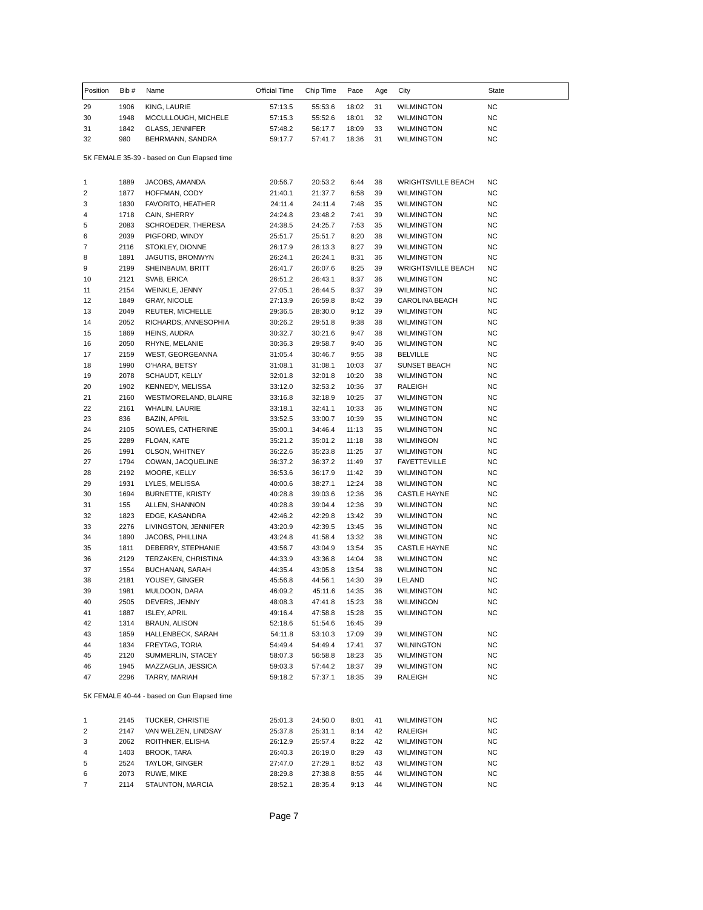| Position       | Bib#        | Name                                        | Official Time      | Chip Time          | Pace           | Age      | City                                   | State           |
|----------------|-------------|---------------------------------------------|--------------------|--------------------|----------------|----------|----------------------------------------|-----------------|
| 29             | 1906        | KING, LAURIE                                | 57:13.5            | 55:53.6            | 18:02          | 31       | <b>WILMINGTON</b>                      | NC              |
| 30             | 1948        | MCCULLOUGH, MICHELE                         | 57:15.3            | 55:52.6            | 18:01          | 32       | <b>WILMINGTON</b>                      | <b>NC</b>       |
| 31             | 1842        | <b>GLASS, JENNIFER</b>                      | 57:48.2            | 56:17.7            | 18:09          | 33       | <b>WILMINGTON</b>                      | <b>NC</b>       |
| 32             | 980         | BEHRMANN, SANDRA                            | 59:17.7            | 57:41.7            | 18:36          | 31       | WILMINGTON                             | ΝC              |
|                |             | 5K FEMALE 35-39 - based on Gun Elapsed time |                    |                    |                |          |                                        |                 |
| 1              | 1889        | JACOBS, AMANDA                              | 20:56.7            | 20:53.2            | 6:44           | 38       | <b>WRIGHTSVILLE BEACH</b>              | ΝC              |
| 2              | 1877        | HOFFMAN, CODY                               | 21:40.1            | 21:37.7            | 6:58           | 39       | <b>WILMINGTON</b>                      | ΝC              |
| 3              | 1830        | FAVORITO, HEATHER                           | 24:11.4            | 24:11.4            | 7:48           | 35       | <b>WILMINGTON</b>                      | ΝC              |
| 4              | 1718        | CAIN, SHERRY                                | 24:24.8            | 23:48.2            | 7:41           | 39       | <b>WILMINGTON</b>                      | <b>NC</b>       |
| 5              | 2083        | SCHROEDER, THERESA                          | 24:38.5            | 24:25.7            | 7:53           | 35       | <b>WILMINGTON</b>                      | ΝC              |
| 6              | 2039        | PIGFORD, WINDY                              | 25:51.7            | 25:51.7            | 8:20           | 38       | <b>WILMINGTON</b>                      | <b>NC</b>       |
| 7              | 2116        | STOKLEY, DIONNE                             | 26:17.9            | 26:13.3            | 8:27           | 39       | <b>WILMINGTON</b>                      | <b>NC</b>       |
| 8              | 1891        | JAGUTIS, BRONWYN                            | 26:24.1            | 26:24.1            | 8:31           | 36       | <b>WILMINGTON</b>                      | <b>NC</b>       |
| 9              | 2199        | SHEINBAUM, BRITT                            | 26:41.7            | 26:07.6            | 8:25           | 39       | <b>WRIGHTSVILLE BEACH</b>              | ΝC              |
| 10             | 2121        | SVAB, ERICA                                 | 26:51.2            | 26:43.1            | 8:37           | 36       | <b>WILMINGTON</b>                      | ΝC              |
| 11             | 2154        | WEINKLE, JENNY                              | 27:05.1            | 26:44.5            | 8:37           | 39       | <b>WILMINGTON</b>                      | <b>NC</b>       |
| 12             | 1849        | <b>GRAY, NICOLE</b>                         | 27:13.9            | 26:59.8            | 8:42           | 39       | CAROLINA BEACH                         | <b>NC</b>       |
| 13             | 2049        | REUTER, MICHELLE                            | 29:36.5            | 28:30.0            | 9:12           | 39       | <b>WILMINGTON</b>                      | ΝC              |
| 14             | 2052        | RICHARDS, ANNESOPHIA                        | 30:26.2            | 29:51.8            | 9:38           | 38       | <b>WILMINGTON</b>                      | ΝC              |
| 15             | 1869        | HEINS, AUDRA                                | 30:32.7            | 30:21.6            | 9:47           | 38       | <b>WILMINGTON</b>                      | <b>NC</b>       |
| 16             | 2050        | RHYNE, MELANIE                              | 30:36.3            | 29:58.7            | 9:40           | 36       | <b>WILMINGTON</b>                      | <b>NC</b>       |
| 17             | 2159        | WEST, GEORGEANNA                            | 31:05.4            | 30:46.7            | 9:55           | 38       | <b>BELVILLE</b>                        | ΝC              |
| 18             | 1990        | O'HARA, BETSY                               | 31:08.1            | 31:08.1            | 10:03          | 37       | <b>SUNSET BEACH</b>                    | NC              |
| 19             | 2078        | SCHAUDT, KELLY                              | 32:01.8            | 32:01.8            | 10:20          | 38       | <b>WILMINGTON</b>                      | ΝC              |
| 20             | 1902        | KENNEDY, MELISSA                            | 33:12.0            | 32:53.2            | 10:36          | 37       | RALEIGH                                | ΝC              |
| 21             | 2160        | WESTMORELAND, BLAIRE                        | 33:16.8            | 32:18.9            | 10:25          | 37       | <b>WILMINGTON</b>                      | <b>NC</b>       |
| 22             | 2161        | WHALIN, LAURIE                              | 33:18.1            | 32:41.1            | 10:33          | 36       | <b>WILMINGTON</b>                      | <b>NC</b>       |
| 23<br>24       | 836<br>2105 | BAZIN, APRIL<br>SOWLES, CATHERINE           | 33:52.5<br>35:00.1 | 33:00.7<br>34:46.4 | 10:39<br>11:13 | 35<br>35 | <b>WILMINGTON</b><br><b>WILMINGTON</b> | ΝC<br><b>NC</b> |
| 25             | 2289        | FLOAN, KATE                                 | 35:21.2            | 35:01.2            | 11:18          | 38       | WILMINGON                              | <b>NC</b>       |
| 26             | 1991        | OLSON, WHITNEY                              | 36:22.6            | 35:23.8            | 11:25          | 37       | <b>WILMINGTON</b>                      | ΝC              |
| 27             | 1794        | COWAN, JACQUELINE                           | 36:37.2            | 36:37.2            | 11:49          | 37       | <b>FAYETTEVILLE</b>                    | NC              |
| 28             | 2192        | MOORE, KELLY                                | 36:53.6            | 36:17.9            | 11:42          | 39       | <b>WILMINGTON</b>                      | ΝC              |
| 29             | 1931        | LYLES, MELISSA                              | 40:00.6            | 38:27.1            | 12:24          | 38       | <b>WILMINGTON</b>                      | <b>NC</b>       |
| 30             | 1694        | <b>BURNETTE, KRISTY</b>                     | 40:28.8            | 39:03.6            | 12:36          | 36       | <b>CASTLE HAYNE</b>                    | ΝC              |
| 31             | 155         | ALLEN, SHANNON                              | 40:28.8            | 39:04.4            | 12:36          | 39       | <b>WILMINGTON</b>                      | NC              |
| 32             | 1823        | EDGE, KASANDRA                              | 42:46.2            | 42:29.8            | 13:42          | 39       | <b>WILMINGTON</b>                      | ΝC              |
| 33             | 2276        | LIVINGSTON, JENNIFER                        | 43:20.9            | 42:39.5            | 13:45          | 36       | <b>WILMINGTON</b>                      | <b>NC</b>       |
| 34             | 1890        | JACOBS, PHILLINA                            | 43:24.8            | 41:58.4            | 13:32          | 38       | WILMINGTON                             | ΝC              |
| 35             | 1811        | DEBERRY, STEPHANIE                          | 43:56.7            | 43:04.9            | 13:54          | 35       | CASTLE HAYNE                           | NC              |
| 36             | 2129        | TERZAKEN, CHRISTINA                         | 44:33.9            | 43:36.8            | 14:04          | 38       | <b>WILMINGTON</b>                      | ΝC              |
| 37             | 1554        | BUCHANAN, SARAH                             | 44:35.4            | 43:05.8            | 13:54          | 38       | <b>WILMINGTON</b>                      | <b>NC</b>       |
| 38             | 2181        | YOUSEY, GINGER                              | 45:56.8            | 44:56.1            | 14:30          | 39       | LELAND                                 | <b>NC</b>       |
| 39             | 1981        | MULDOON, DARA                               | 46:09.2            | 45:11.6            | 14:35          | 36       | <b>WILMINGTON</b>                      | NC              |
| 40             | 2505        | DEVERS, JENNY                               | 48:08.3            | 47:41.8            | 15:23          | 38       | WILMINGON                              | <b>NC</b>       |
| 41             | 1887        | <b>ISLEY, APRIL</b>                         | 49:16.4            | 47:58.8            | 15:28          | 35       | <b>WILMINGTON</b>                      | <b>NC</b>       |
| 42             | 1314        | <b>BRAUN, ALISON</b>                        | 52:18.6            | 51:54.6            | 16:45          | 39       |                                        |                 |
| 43             | 1859        | HALLENBECK, SARAH                           | 54:11.8            | 53:10.3            | 17:09          | 39       | <b>WILMINGTON</b>                      | NC.             |
| 44             | 1834        | FREYTAG, TORIA                              | 54:49.4            | 54:49.4            | 17:41          | 37       | WILNINGTON                             | NC              |
| 45             | 2120        | SUMMERLIN, STACEY                           | 58:07.3            | 56:58.8            | 18:23          | 35       | <b>WILMINGTON</b>                      | NC              |
| 46             | 1945        | MAZZAGLIA, JESSICA                          | 59:03.3            | 57:44.2            | 18:37          | 39       | <b>WILMINGTON</b>                      | ΝC              |
| 47             | 2296        | TARRY, MARIAH                               | 59:18.2            | 57:37.1            | 18:35          | 39       | RALEIGH                                | NC              |
|                |             | 5K FEMALE 40-44 - based on Gun Elapsed time |                    |                    |                |          |                                        |                 |
| 1              | 2145        | TUCKER, CHRISTIE                            | 25:01.3            | 24:50.0            | 8:01           | 41       | <b>WILMINGTON</b>                      | ΝC              |
| 2              | 2147        | VAN WELZEN, LINDSAY                         | 25:37.8            | 25:31.1            | 8:14           | 42       | RALEIGH                                | NC              |
| 3              | 2062        | ROITHNER, ELISHA                            | 26:12.9            | 25:57.4            | 8:22           | 42       | <b>WILMINGTON</b>                      | NC.             |
| 4              | 1403        | BROOK, TARA                                 | 26:40.3            | 26:19.0            | 8:29           | 43       | <b>WILMINGTON</b>                      | NC              |
| 5              | 2524        | TAYLOR, GINGER                              | 27:47.0            | 27:29.1            | 8:52           | 43       | <b>WILMINGTON</b>                      | ΝC              |
| 6              | 2073        | RUWE, MIKE                                  | 28:29.8            | 27:38.8            | 8:55           | 44       | <b>WILMINGTON</b>                      | ΝC              |
| $\overline{7}$ | 2114        | STAUNTON, MARCIA                            | 28:52.1            | 28:35.4            | 9:13           | 44       | <b>WILMINGTON</b>                      | NC              |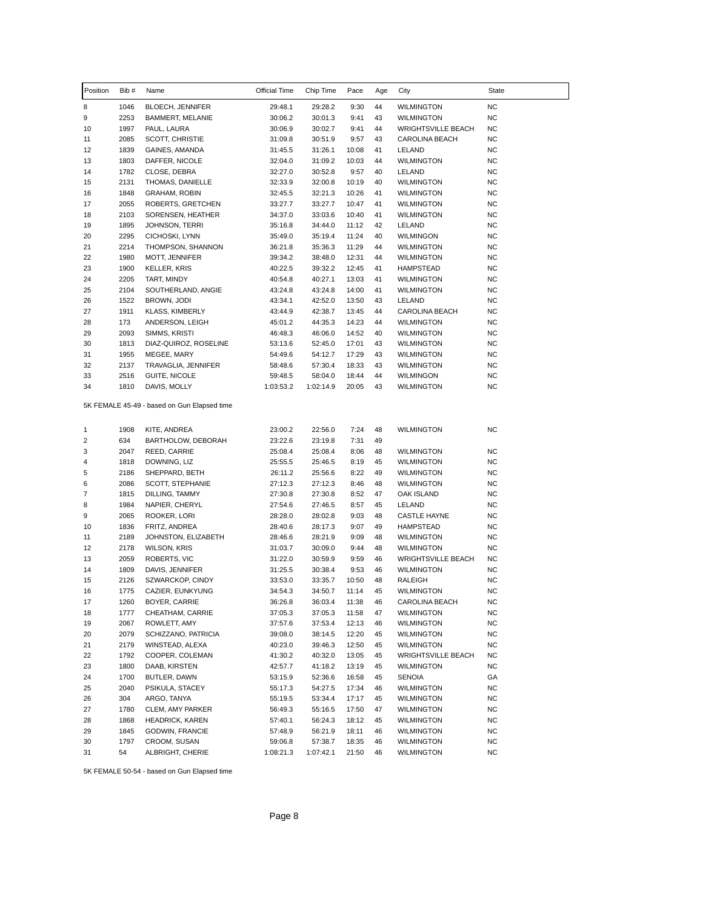| Position | Bib # | Name                                        | Official Time | Chip Time | Pace  | Age | City                      | State     |
|----------|-------|---------------------------------------------|---------------|-----------|-------|-----|---------------------------|-----------|
| 8        | 1046  | <b>BLOECH, JENNIFER</b>                     | 29:48.1       | 29:28.2   | 9:30  | 44  | <b>WILMINGTON</b>         | <b>NC</b> |
| 9        | 2253  | BAMMERT, MELANIE                            | 30:06.2       | 30:01.3   | 9:41  | 43  | <b>WILMINGTON</b>         | <b>NC</b> |
| 10       | 1997  | PAUL, LAURA                                 | 30:06.9       | 30:02.7   | 9:41  | 44  | <b>WRIGHTSVILLE BEACH</b> | <b>NC</b> |
| 11       | 2085  | <b>SCOTT, CHRISTIE</b>                      | 31:09.8       | 30:51.9   | 9:57  | 43  | CAROLINA BEACH            | <b>NC</b> |
| 12       | 1839  | GAINES, AMANDA                              | 31:45.5       | 31:26.1   | 10:08 | 41  | LELAND                    | NC        |
| 13       | 1803  | DAFFER, NICOLE                              | 32:04.0       | 31:09.2   | 10:03 | 44  | <b>WILMINGTON</b>         | <b>NC</b> |
| 14       | 1782  | CLOSE, DEBRA                                | 32:27.0       | 30:52.8   | 9:57  | 40  | LELAND                    | <b>NC</b> |
| 15       | 2131  | THOMAS, DANIELLE                            | 32:33.9       | 32:00.8   | 10:19 | 40  | <b>WILMINGTON</b>         | <b>NC</b> |
| 16       | 1848  | <b>GRAHAM, ROBIN</b>                        | 32:45.5       | 32:21.3   | 10:26 | 41  | <b>WILMINGTON</b>         | <b>NC</b> |
| 17       | 2055  | ROBERTS, GRETCHEN                           | 33:27.7       | 33:27.7   | 10:47 | 41  | <b>WILMINGTON</b>         | <b>NC</b> |
| 18       | 2103  | SORENSEN, HEATHER                           | 34:37.0       | 33:03.6   | 10:40 | 41  | <b>WILMINGTON</b>         | <b>NC</b> |
| 19       | 1895  | JOHNSON, TERRI                              | 35:16.8       | 34:44.0   | 11:12 | 42  | LELAND                    | NC        |
| 20       | 2295  | CICHOSKI, LYNN                              | 35:49.0       | 35:19.4   | 11:24 | 40  | <b>WILMINGON</b>          | <b>NC</b> |
| 21       | 2214  | THOMPSON, SHANNON                           | 36:21.8       | 35:36.3   | 11:29 | 44  | <b>WILMINGTON</b>         | <b>NC</b> |
| 22       | 1980  | MOTT, JENNIFER                              | 39:34.2       | 38:48.0   | 12:31 | 44  | <b>WILMINGTON</b>         | <b>NC</b> |
| 23       | 1900  | <b>KELLER, KRIS</b>                         | 40:22.5       | 39:32.2   | 12:45 | 41  | HAMPSTEAD                 | <b>NC</b> |
| 24       | 2205  | TART, MINDY                                 | 40:54.8       | 40:27.1   | 13:03 | 41  | <b>WILMINGTON</b>         | <b>NC</b> |
| 25       | 2104  | SOUTHERLAND, ANGIE                          | 43:24.8       | 43:24.8   | 14:00 | 41  | <b>WILMINGTON</b>         | <b>NC</b> |
| 26       | 1522  | BROWN, JODI                                 | 43:34.1       | 42:52.0   | 13:50 | 43  | LELAND                    | <b>NC</b> |
| 27       | 1911  | <b>KLASS, KIMBERLY</b>                      | 43:44.9       | 42:38.7   | 13:45 | 44  | CAROLINA BEACH            | <b>NC</b> |
| 28       | 173   | ANDERSON, LEIGH                             | 45:01.2       | 44:35.3   | 14:23 | 44  | <b>WILMINGTON</b>         | NC        |
| 29       | 2093  | SIMMS, KRISTI                               | 46:48.3       | 46:06.0   | 14:52 | 40  | <b>WILMINGTON</b>         | <b>NC</b> |
| 30       | 1813  | DIAZ-QUIROZ, ROSELINE                       | 53:13.6       | 52:45.0   | 17:01 | 43  | WILMINGTON                | <b>NC</b> |
| 31       | 1955  | MEGEE, MARY                                 | 54:49.6       | 54:12.7   | 17:29 | 43  | <b>WILMINGTON</b>         | <b>NC</b> |
| 32       | 2137  | TRAVAGLIA, JENNIFER                         | 58:48.6       | 57:30.4   | 18:33 | 43  | <b>WILMINGTON</b>         | NC        |
| 33       | 2516  | GUITE, NICOLE                               | 59:48.5       | 58:04.0   | 18:44 | 44  | WILMINGON                 | <b>NC</b> |
| 34       | 1810  | DAVIS, MOLLY                                | 1:03:53.2     | 1:02:14.9 | 20:05 | 43  | WILMINGTON                | <b>NC</b> |
|          |       | 5K FEMALE 45-49 - based on Gun Elapsed time |               |           |       |     |                           |           |
| 1        | 1908  | KITE, ANDREA                                | 23:00.2       | 22:56.0   | 7:24  | 48  | <b>WILMINGTON</b>         | <b>NC</b> |
| 2        | 634   | BARTHOLOW, DEBORAH                          | 23:22.6       | 23:19.8   | 7:31  | 49  |                           |           |
| 3        | 2047  | REED, CARRIE                                | 25:08.4       | 25:08.4   | 8:06  | 48  | WILMINGTON                | NC.       |
| 4        | 1818  | DOWNING, LIZ                                | 25:55.5       | 25:46.5   | 8:19  | 45  | <b>WILMINGTON</b>         | NC        |
| 5        | 2186  | SHEPPARD, BETH                              | 26:11.2       | 25:56.6   | 8:22  | 49  | <b>WILMINGTON</b>         | <b>NC</b> |
| 6        | 2086  | SCOTT, STEPHANIE                            | 27:12.3       | 27:12.3   | 8:46  | 48  | <b>WILMINGTON</b>         | <b>NC</b> |
| 7        | 1815  | DILLING, TAMMY                              | 27:30.8       | 27:30.8   | 8:52  | 47  | OAK ISLAND                | NC        |
| 8        | 1984  | NAPIER, CHERYL                              | 27:54.6       | 27:46.5   | 8:57  | 45  | LELAND                    | <b>NC</b> |
| 9        | 2065  | ROOKER, LORI                                | 28:28.0       | 28:02.8   | 9:03  | 48  | CASTLE HAYNE              | <b>NC</b> |
| 10       | 1836  | FRITZ, ANDREA                               | 28:40.6       | 28:17.3   | 9:07  | 49  | <b>HAMPSTEAD</b>          | <b>NC</b> |
| 11       | 2189  | JOHNSTON, ELIZABETH                         | 28:46.6       | 28:21.9   | 9:09  | 48  | <b>WILMINGTON</b>         | NC        |
| 12       | 2178  | <b>WILSON, KRIS</b>                         | 31:03.7       | 30:09.0   | 9:44  | 48  | <b>WILMINGTON</b>         | <b>NC</b> |
| 13       | 2059  | ROBERTS, VIC                                | 31:22.0       | 30:59.9   | 9:59  | 46  | <b>WRIGHTSVILLE BEACH</b> | NC        |
| 14       | 1809  | DAVIS, JENNIFER                             | 31:25.5       | 30:38.4   | 9:53  | 46  | <b>WILMINGTON</b>         | <b>NC</b> |
| 15       | 2126  | SZWARCKOP, CINDY                            | 33:53.0       | 33:35.7   | 10:50 | 48  | RALEIGH                   | <b>NC</b> |
| 16       | 1775  | CAZIER, EUNKYUNG                            | 34:54.3       | 34:50.7   | 11:14 | 45  | <b>WILMINGTON</b>         | <b>NC</b> |
| 17       | 1260  | BOYER, CARRIE                               | 36:26.8       | 36:03.4   | 11:38 | 46  | CAROLINA BEACH            | <b>NC</b> |
| 18       | 1777  | CHEATHAM, CARRIE                            | 37:05.3       | 37:05.3   | 11:58 | 47  | <b>WILMINGTON</b>         | <b>NC</b> |
| 19       | 2067  | ROWLETT, AMY                                | 37:57.6       | 37:53.4   | 12:13 | 46  | WILMINGTON                | <b>NC</b> |
| 20       | 2079  | SCHIZZANO, PATRICIA                         | 39:08.0       | 38:14.5   | 12:20 | 45  | WILMINGTON                | <b>NC</b> |
| 21       | 2179  | WINSTEAD, ALEXA                             | 40:23.0       | 39:46.3   | 12:50 | 45  | WILMINGTON                | <b>NC</b> |
| 22       | 1792  | COOPER, COLEMAN                             | 41:30.2       | 40:32.0   | 13:05 | 45  | <b>WRIGHTSVILLE BEACH</b> | <b>NC</b> |
| 23       | 1800  | DAAB, KIRSTEN                               | 42:57.7       | 41:18.2   | 13:19 | 45  | <b>WILMINGTON</b>         | NC.       |
| 24       | 1700  | BUTLER, DAWN                                | 53:15.9       | 52:36.6   | 16:58 | 45  | <b>SENOIA</b>             | GA        |
| 25       | 2040  | PSIKULA, STACEY                             | 55:17.3       | 54:27.5   | 17:34 | 46  | <b>WILMINGTON</b>         | <b>NC</b> |
| 26       | 304   | ARGO, TANYA                                 | 55:19.5       | 53:34.4   | 17:17 | 45  | WILMINGTON                | <b>NC</b> |
| 27       | 1780  | CLEM, AMY PARKER                            | 56:49.3       | 55:16.5   | 17:50 | 47  | WILMINGTON                | <b>NC</b> |
| 28       | 1868  | <b>HEADRICK, KAREN</b>                      | 57:40.1       | 56:24.3   | 18:12 | 45  | WILMINGTON                | NC.       |
| 29       | 1845  | GODWIN, FRANCIE                             | 57:48.9       | 56:21.9   | 18:11 | 46  | WILMINGTON                | <b>NC</b> |
| 30       | 1797  | CROOM, SUSAN                                | 59:06.8       | 57:38.7   | 18:35 | 46  | WILMINGTON                | <b>NC</b> |
| 31       | 54    | ALBRIGHT, CHERIE                            | 1:08:21.3     | 1:07:42.1 | 21:50 | 46  | <b>WILMINGTON</b>         | NC.       |

5K FEMALE 50-54 - based on Gun Elapsed time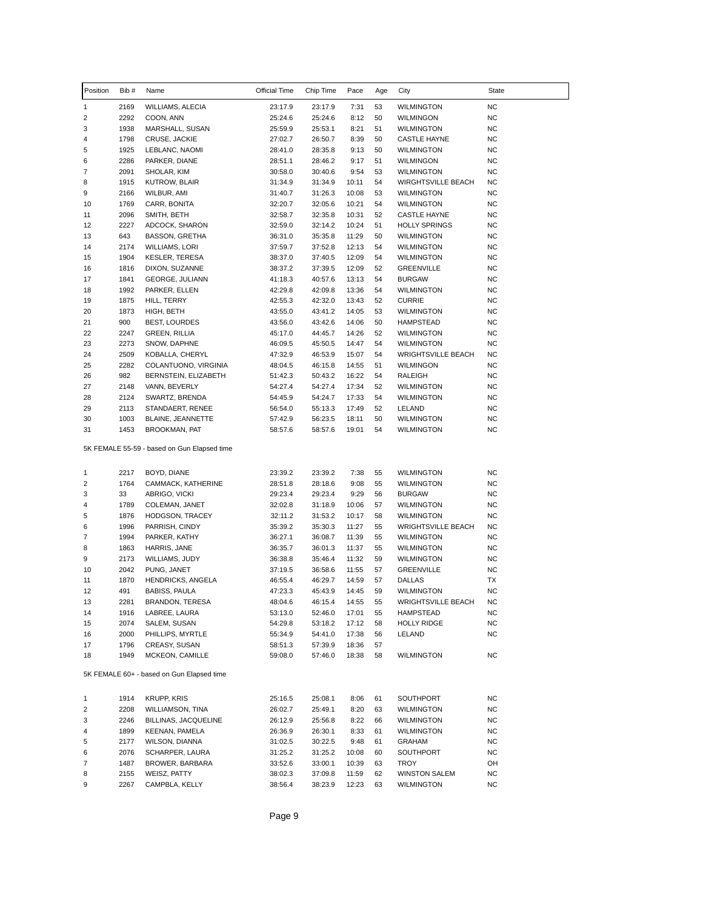| Position | Bib #        | Name                                        | Official Time      | Chip Time          | Pace           | Age      | City                                           | State                  |
|----------|--------------|---------------------------------------------|--------------------|--------------------|----------------|----------|------------------------------------------------|------------------------|
| 1        | 2169         | WILLIAMS, ALECIA                            | 23:17.9            | 23:17.9            | 7:31           | 53       | <b>WILMINGTON</b>                              | <b>NC</b>              |
| 2        | 2292         | COON, ANN                                   | 25:24.6            | 25:24.6            | 8:12           | 50       | <b>WILMINGON</b>                               | <b>NC</b>              |
| 3        | 1938         | MARSHALL, SUSAN                             | 25:59.9            | 25:53.1            | 8:21           | 51       | <b>WILMINGTON</b>                              | <b>NC</b>              |
| 4        | 1798         | CRUSE, JACKIE                               | 27:02.7            | 26:50.7            | 8:39           | 50       | <b>CASTLE HAYNE</b>                            | NC                     |
| 5        | 1925         | LEBLANC, NAOMI                              | 28:41.0            | 28:35.8            | 9:13           | 50       | <b>WILMINGTON</b>                              | NC                     |
| 6        | 2286         | PARKER, DIANE                               | 28:51.1            | 28:46.2            | 9:17           | 51       | <b>WILMINGON</b>                               | <b>NC</b>              |
| 7        | 2091         | SHOLAR, KIM                                 | 30:58.0            | 30:40.6            | 9:54           | 53       | <b>WILMINGTON</b>                              | <b>NC</b>              |
| 8        | 1915         | KUTROW, BLAIR                               | 31:34.9            | 31:34.9            | 10:11          | 54       | <b>WIRGHTSVILLE BEACH</b>                      | NC                     |
| 9        | 2166         | WILBUR, AMI                                 | 31:40.7            | 31:26.3            | 10:08          | 53       | <b>WILMINGTON</b>                              | NC                     |
| 10       | 1769         | CARR, BONITA                                | 32:20.7            | 32:05.6<br>32:35.8 | 10:21          | 54       | WILMINGTON                                     | NC                     |
| 11       | 2096<br>2227 | SMITH, BETH                                 | 32:58.7            |                    | 10:31          | 52       | <b>CASTLE HAYNE</b>                            | <b>NC</b>              |
| 12<br>13 | 643          | ADCOCK, SHARON<br><b>BASSON, GRETHA</b>     | 32:59.0<br>36:31.0 | 32:14.2<br>35:35.8 | 10:24<br>11:29 | 51<br>50 | <b>HOLLY SPRINGS</b><br><b>WILMINGTON</b>      | NC<br>NC               |
| 14       | 2174         | WILLIAMS, LORI                              | 37:59.7            | 37:52.8            | 12:13          | 54       | WILMINGTON                                     | <b>NC</b>              |
| 15       | 1904         | <b>KESLER, TERESA</b>                       | 38:37.0            | 37:40.5            | 12:09          | 54       | <b>WILMINGTON</b>                              | <b>NC</b>              |
| 16       | 1816         | DIXON, SUZANNE                              | 38:37.2            | 37:39.5            | 12:09          | 52       | <b>GREENVILLE</b>                              | NC                     |
| 17       | 1841         | GEORGE, JULIANN                             | 41:18.3            | 40:57.6            | 13:13          | 54       | <b>BURGAW</b>                                  | <b>NC</b>              |
| 18       | 1992         | PARKER, ELLEN                               | 42:29.8            | 42:09.8            | 13:36          | 54       | <b>WILMINGTON</b>                              | <b>NC</b>              |
| 19       | 1875         | HILL, TERRY                                 | 42:55.3            | 42:32.0            | 13:43          | 52       | <b>CURRIE</b>                                  | <b>NC</b>              |
| 20       | 1873         | HIGH, BETH                                  | 43:55.0            | 43:41.2            | 14:05          | 53       | WILMINGTON                                     | <b>NC</b>              |
| 21       | 900          | <b>BEST, LOURDES</b>                        | 43:56.0            | 43:42.6            | 14:06          | 50       | <b>HAMPSTEAD</b>                               | NC                     |
| 22       | 2247         | <b>GREEN, RILLIA</b>                        | 45:17.0            | 44:45.7            | 14:26          | 52       | <b>WILMINGTON</b>                              | <b>NC</b>              |
| 23       | 2273         | SNOW, DAPHNE                                | 46:09.5            | 45:50.5            | 14:47          | 54       | <b>WILMINGTON</b>                              | <b>NC</b>              |
| 24       | 2509         | KOBALLA, CHERYL                             | 47:32.9            | 46:53.9            | 15:07          | 54       | <b>WRIGHTSVILLE BEACH</b>                      | NC                     |
| 25       | 2282         | COLANTUONO, VIRGINIA                        | 48:04.5            | 46:15.8            | 14:55          | 51       | <b>WILMINGON</b>                               | NC                     |
| 26       | 982          | BERNSTEIN, ELIZABETH                        | 51:42.3            | 50:43.2            | 16:22          | 54       | RALEIGH                                        | <b>NC</b>              |
| 27       | 2148         | VANN, BEVERLY                               | 54:27.4            | 54:27.4            | 17:34          | 52       | <b>WILMINGTON</b>                              | NC                     |
| 28       | 2124         | SWARTZ, BRENDA                              | 54:45.9            | 54:24.7            | 17:33          | 54       | <b>WILMINGTON</b>                              | NC                     |
| 29       | 2113         | STANDAERT, RENEE                            | 56:54.0            | 55:13.3            | 17:49          | 52       | LELAND                                         | NC                     |
| 30       | 1003         | BLAINE, JEANNETTE                           | 57:42.9            | 56:23.5            | 18:11          | 50       | <b>WILMINGTON</b>                              | NC                     |
| 31       | 1453         | BROOKMAN, PAT                               | 58:57.6            | 58:57.6            | 19:01          | 54       | <b>WILMINGTON</b>                              | <b>NC</b>              |
|          |              | 5K FEMALE 55-59 - based on Gun Elapsed time |                    |                    |                |          |                                                |                        |
| 1        | 2217         | BOYD, DIANE                                 | 23:39.2            | 23:39.2            | 7:38           | 55       | <b>WILMINGTON</b>                              | <b>NC</b>              |
| 2        | 1764         | CAMMACK, KATHERINE                          | 28:51.8            | 28:18.6            | 9:08           | 55       | <b>WILMINGTON</b>                              | <b>NC</b>              |
| 3        | 33           | ABRIGO, VICKI                               | 29:23.4            | 29:23.4            | 9:29           | 56       | <b>BURGAW</b>                                  | NC                     |
| 4        | 1789         | COLEMAN, JANET                              | 32:02.8            | 31:18.9            | 10:06          | 57       | WILMINGTON                                     | NC                     |
| 5        | 1876         | HODGSON, TRACEY                             | 32:11.2            | 31:53.2            | 10:17          | 58       | WILMINGTON                                     | <b>NC</b>              |
| 6        | 1996         | PARRISH, CINDY                              | 35:39.2            | 35:30.3            | 11:27          | 55       | <b>WRIGHTSVILLE BEACH</b>                      | <b>NC</b>              |
| 7        | 1994         | PARKER, KATHY                               | 36:27.1            | 36:08.7            | 11:39          | 55       | WILMINGTON                                     | NC                     |
| 8        | 1863         | HARRIS, JANE                                | 36:35.7            | 36:01.3            | 11:37          | 55       | <b>WILMINGTON</b>                              | NC                     |
| 9        | 2173         | WILLIAMS, JUDY                              | 36:38.8            | 35:46.4            | 11:32          | 59       | WILMINGTON                                     | NC                     |
| 10       | 2042         | PUNG, JANET                                 | 37:19.5            | 36:58.6            | 11:55          | 57<br>57 | <b>GREENVILLE</b>                              | <b>NC</b><br>TX        |
| 11       | 1870         | HENDRICKS, ANGELA                           | 46:55.4            | 46:29.7            | 14:59          |          | <b>DALLAS</b>                                  | <b>NC</b>              |
| 12<br>13 | 491<br>2281  | <b>BABISS, PAULA</b><br>BRANDON, TERESA     | 47:23.3<br>48:04.6 | 45:43.9<br>46:15.4 | 14:45<br>14:55 | 59<br>55 | <b>WILMINGTON</b><br><b>WRIGHTSVILLE BEACH</b> | <b>NC</b>              |
| 14       | 1916         | LABREE, LAURA                               | 53:13.0            | 52:46.0            | 17:01          | 55       | HAMPSTEAD                                      | <b>NC</b>              |
| 15       | 2074         | SALEM, SUSAN                                | 54:29.8            | 53:18.2            | 17:12          | 58       | <b>HOLLY RIDGE</b>                             | <b>NC</b>              |
| 16       | 2000         | PHILLIPS, MYRTLE                            | 55:34.9            | 54:41.0            | 17:38          | 56       | LELAND                                         | NC.                    |
| 17       | 1796         | CREASY, SUSAN                               | 58:51.3            | 57:39.9            | 18:36          | 57       |                                                |                        |
| 18       | 1949         | MCKEON, CAMILLE                             | 59:08.0            | 57:46.0            | 18:38          | 58       | WILMINGTON                                     | NC.                    |
|          |              | 5K FEMALE 60+ - based on Gun Elapsed time   |                    |                    |                |          |                                                |                        |
|          | 1914         | <b>KRUPP, KRIS</b>                          |                    | 25:08.1            | 8:06           | 61       | SOUTHPORT                                      | NC                     |
| 1<br>2   | 2208         | WILLIAMSON, TINA                            | 25:16.5<br>26:02.7 | 25:49.1            | 8:20           | 63       | WILMINGTON                                     | NC                     |
| 3        |              | BILLINAS, JACQUELINE                        |                    |                    |                | 66       |                                                | NC                     |
|          | 2246         |                                             | 26:12.9            | 25:56.8            | 8:22           |          | WILMINGTON                                     |                        |
| 4        | 1899         | KEENAN, PAMELA                              | 26:36.9            | 26:30.1            | 8:33           | 61       | WILMINGTON                                     | <b>NC</b>              |
| 5<br>6   | 2177         | WILSON, DIANNA                              | 31:02.5            | 30:22.5            | 9:48           | 61<br>60 | GRAHAM                                         | <b>NC</b><br><b>NC</b> |
| 7        | 2076<br>1487 | SCHARPER, LAURA<br>BROWER, BARBARA          | 31:25.2<br>33:52.6 | 31:25.2<br>33:00.1 | 10:08<br>10:39 | 63       | SOUTHPORT<br>TROY                              | OH                     |
| 8        | 2155         | WEISZ, PATTY                                | 38:02.3            | 37:09.8            | 11:59          | 62       | <b>WINSTON SALEM</b>                           | NC                     |
| 9        | 2267         | CAMPBLA, KELLY                              | 38:56.4            | 38:23.9            | 12:23          | 63       | <b>WILMINGTON</b>                              | <b>NC</b>              |
|          |              |                                             |                    |                    |                |          |                                                |                        |